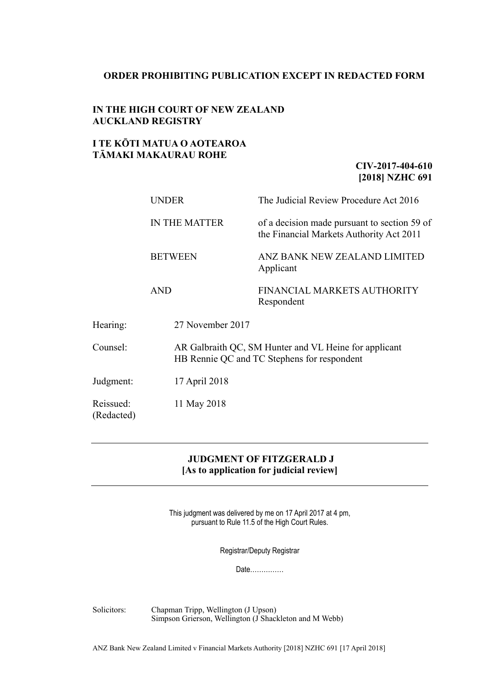### **ORDER PROHIBITING PUBLICATION EXCEPT IN REDACTED FORM**

## **IN THE HIGH COURT OF NEW ZEALAND AUCKLAND REGISTRY**

# **I TE KŌTI MATUA O AOTEAROA TĀMAKI MAKAURAU ROHE**

## **CIV-2017-404-610 [2018] NZHC 691**

|                         | <b>UNDER</b>         | The Judicial Review Procedure Act 2016                                                               |  |
|-------------------------|----------------------|------------------------------------------------------------------------------------------------------|--|
|                         | <b>IN THE MATTER</b> | of a decision made pursuant to section 59 of<br>the Financial Markets Authority Act 2011             |  |
|                         | <b>BETWEEN</b>       | ANZ BANK NEW ZEALAND LIMITED<br>Applicant                                                            |  |
|                         | <b>AND</b>           | FINANCIAL MARKETS AUTHORITY<br>Respondent                                                            |  |
| Hearing:                | 27 November 2017     |                                                                                                      |  |
| Counsel:                |                      | AR Galbraith QC, SM Hunter and VL Heine for applicant<br>HB Rennie QC and TC Stephens for respondent |  |
| Judgment:               | 17 April 2018        |                                                                                                      |  |
| Reissued:<br>(Redacted) | 11 May 2018          |                                                                                                      |  |

# **JUDGMENT OF FITZGERALD J [As to application for judicial review]**

This judgment was delivered by me on 17 April 2017 at 4 pm, pursuant to Rule 11.5 of the High Court Rules.

Registrar/Deputy Registrar

Date……………

Solicitors: Chapman Tripp, Wellington (J Upson) Simpson Grierson, Wellington (J Shackleton and M Webb)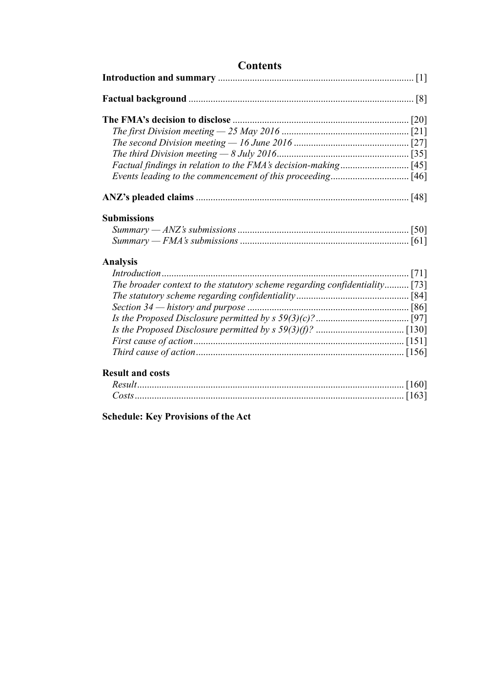<span id="page-1-0"></span>

| <b>Contents</b>                                                            |  |  |
|----------------------------------------------------------------------------|--|--|
|                                                                            |  |  |
|                                                                            |  |  |
|                                                                            |  |  |
|                                                                            |  |  |
|                                                                            |  |  |
|                                                                            |  |  |
|                                                                            |  |  |
|                                                                            |  |  |
|                                                                            |  |  |
| <b>Submissions</b>                                                         |  |  |
|                                                                            |  |  |
|                                                                            |  |  |
| <b>Analysis</b>                                                            |  |  |
|                                                                            |  |  |
| The broader context to the statutory scheme regarding confidentiality [73] |  |  |
|                                                                            |  |  |
|                                                                            |  |  |
|                                                                            |  |  |
|                                                                            |  |  |
|                                                                            |  |  |
|                                                                            |  |  |
| <b>Result and costs</b>                                                    |  |  |
|                                                                            |  |  |
|                                                                            |  |  |
| <b>Schedule: Key Provisions of the Act</b>                                 |  |  |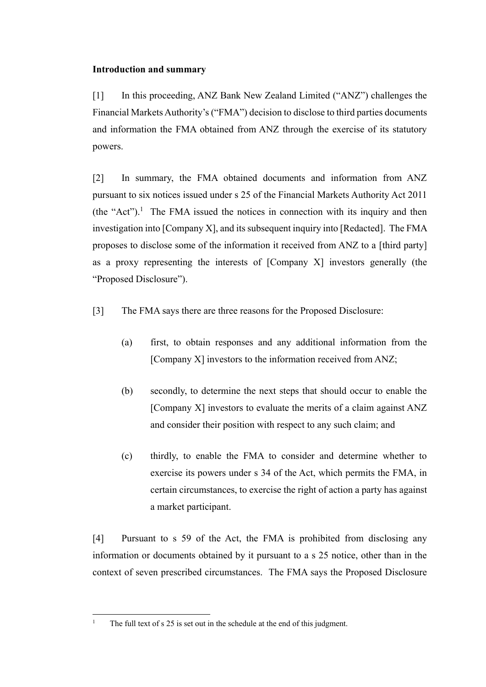## **Introduction and summary**

[1] In this proceeding, ANZ Bank New Zealand Limited ("ANZ") challenges the Financial Markets Authority's ("FMA") decision to disclose to third parties documents and information the FMA obtained from ANZ through the exercise of its statutory powers.

[2] In summary, the FMA obtained documents and information from ANZ pursuant to six notices issued under s 25 of the Financial Markets Authority Act 2011  $(the "Act")$ .<sup>1</sup> The FMA issued the notices in connection with its inquiry and then investigation into [Company X], and its subsequent inquiry into [Redacted]. The FMA proposes to disclose some of the information it received from ANZ to a [third party] as a proxy representing the interests of [Company X] investors generally (the "Proposed Disclosure").

<span id="page-2-0"></span>[3] The FMA says there are three reasons for the Proposed Disclosure:

- (a) first, to obtain responses and any additional information from the [Company X] investors to the information received from ANZ;
- (b) secondly, to determine the next steps that should occur to enable the [Company X] investors to evaluate the merits of a claim against ANZ and consider their position with respect to any such claim; and
- (c) thirdly, to enable the FMA to consider and determine whether to exercise its powers under s 34 of the Act, which permits the FMA, in certain circumstances, to exercise the right of action a party has against a market participant.

[4] Pursuant to s 59 of the Act, the FMA is prohibited from disclosing any information or documents obtained by it pursuant to a s 25 notice, other than in the context of seven prescribed circumstances. The FMA says the Proposed Disclosure

 $\overline{a}$ 

<sup>&</sup>lt;sup>1</sup> The full text of s 25 is set out in the schedule at the end of this judgment.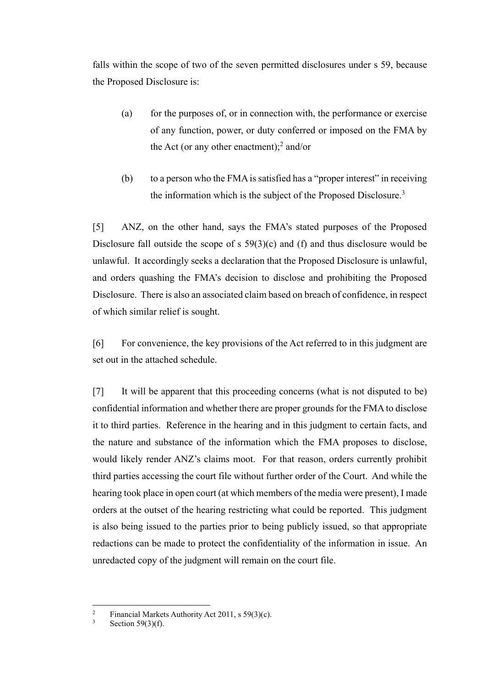falls within the scope of two of the seven permitted disclosures under s 59, because the Proposed Disclosure is:

- (a) for the purposes of, or in connection with, the performance or exercise of any function, power, or duty conferred or imposed on the FMA by the Act (or any other enactment); $^2$  and/or
- (b) to a person who the FMA is satisfied has a "proper interest" in receiving the information which is the subject of the Proposed Disclosure.<sup>3</sup>

[5] ANZ, on the other hand, says the FMA's stated purposes of the Proposed Disclosure fall outside the scope of s 59(3)(c) and (f) and thus disclosure would be unlawful. It accordingly seeks a declaration that the Proposed Disclosure is unlawful, and orders quashing the FMA's decision to disclose and prohibiting the Proposed Disclosure. There is also an associated claim based on breach of confidence, in respect of which similar relief is sought.

[6] For convenience, the key provisions of the Act referred to in this judgment are set out in the attached schedule.

[7] It will be apparent that this proceeding concerns (what is not disputed to be) confidential information and whether there are proper grounds for the FMA to disclose it to third parties. Reference in the hearing and in this judgment to certain facts, and the nature and substance of the information which the FMA proposes to disclose, would likely render ANZ's claims moot. For that reason, orders currently prohibit third parties accessing the court file without further order of the Court. And while the hearing took place in open court (at which members of the media were present), I made orders at the outset of the hearing restricting what could be reported. This judgment is also being issued to the parties prior to being publicly issued, so that appropriate redactions can be made to protect the confidentiality of the information in issue. An unredacted copy of the judgment will remain on the court file.

 $\overline{c}$ <sup>2</sup> Financial Markets Authority Act 2011, s 59(3)(c).<br>Section 59(3)(f)

Section  $59(3)(f)$ .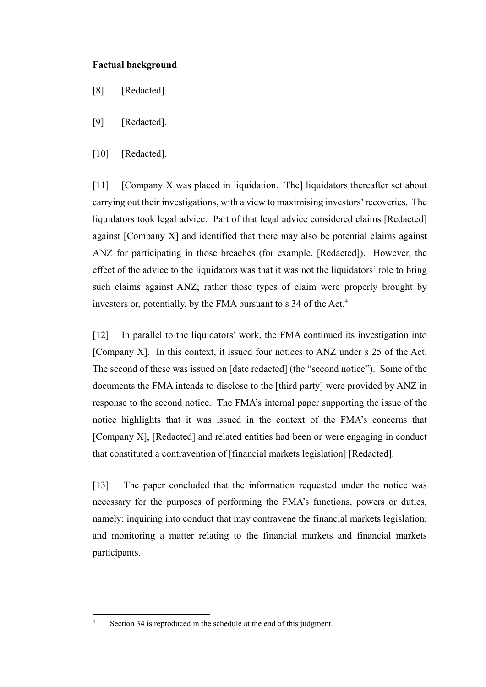## <span id="page-4-0"></span>**Factual background**

- [8] [Redacted].
- [9] [Redacted].
- [10] [Redacted].

[11] [Company X was placed in liquidation. The] liquidators thereafter set about carrying out their investigations, with a view to maximising investors' recoveries. The liquidators took legal advice. Part of that legal advice considered claims [Redacted] against [Company X] and identified that there may also be potential claims against ANZ for participating in those breaches (for example, [Redacted]). However, the effect of the advice to the liquidators was that it was not the liquidators' role to bring such claims against ANZ; rather those types of claim were properly brought by investors or, potentially, by the FMA pursuant to s  $34$  of the Act.<sup>4</sup>

[12] In parallel to the liquidators' work, the FMA continued its investigation into [Company X]. In this context, it issued four notices to ANZ under s 25 of the Act. The second of these was issued on [date redacted] (the "second notice"). Some of the documents the FMA intends to disclose to the [third party] were provided by ANZ in response to the second notice. The FMA's internal paper supporting the issue of the notice highlights that it was issued in the context of the FMA's concerns that [Company X], [Redacted] and related entities had been or were engaging in conduct that constituted a contravention of [financial markets legislation] [Redacted].

[13] The paper concluded that the information requested under the notice was necessary for the purposes of performing the FMA's functions, powers or duties, namely: inquiring into conduct that may contravene the financial markets legislation; and monitoring a matter relating to the financial markets and financial markets participants.

 $\overline{a}$ 

<sup>4</sup> Section 34 is reproduced in the schedule at the end of this judgment.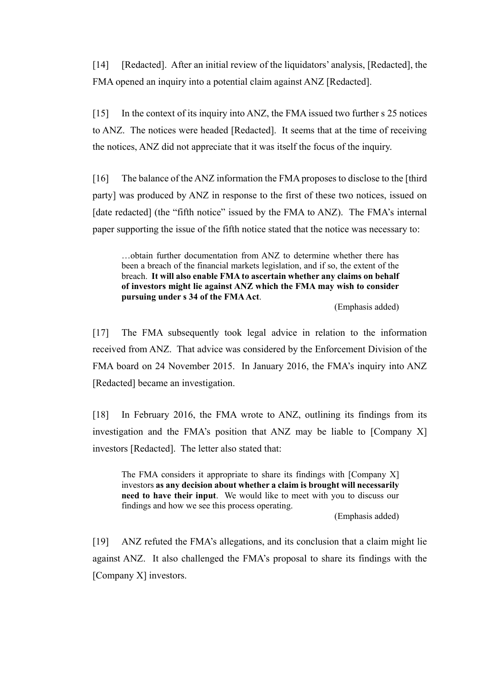<span id="page-5-0"></span>[14] [Redacted]. After an initial review of the liquidators' analysis, [Redacted], the FMA opened an inquiry into a potential claim against ANZ [Redacted].

[15] In the context of its inquiry into ANZ, the FMA issued two further s 25 notices to ANZ. The notices were headed [Redacted]. It seems that at the time of receiving the notices, ANZ did not appreciate that it was itself the focus of the inquiry.

[16] The balance of the ANZ information the FMA proposes to disclose to the [third party] was produced by ANZ in response to the first of these two notices, issued on [date redacted] (the "fifth notice" issued by the FMA to ANZ). The FMA's internal paper supporting the issue of the fifth notice stated that the notice was necessary to:

…obtain further documentation from ANZ to determine whether there has been a breach of the financial markets legislation, and if so, the extent of the breach. **It will also enable FMA to ascertain whether any claims on behalf of investors might lie against ANZ which the FMA may wish to consider pursuing under s 34 of the FMA Act**.

(Emphasis added)

[17] The FMA subsequently took legal advice in relation to the information received from ANZ. That advice was considered by the Enforcement Division of the FMA board on 24 November 2015. In January 2016, the FMA's inquiry into ANZ [Redacted] became an investigation.

[18] In February 2016, the FMA wrote to ANZ, outlining its findings from its investigation and the FMA's position that ANZ may be liable to [Company X] investors [Redacted]. The letter also stated that:

The FMA considers it appropriate to share its findings with [Company X] investors **as any decision about whether a claim is brought will necessarily need to have their input**. We would like to meet with you to discuss our findings and how we see this process operating.

(Emphasis added)

[19] ANZ refuted the FMA's allegations, and its conclusion that a claim might lie against ANZ. It also challenged the FMA's proposal to share its findings with the [Company X] investors.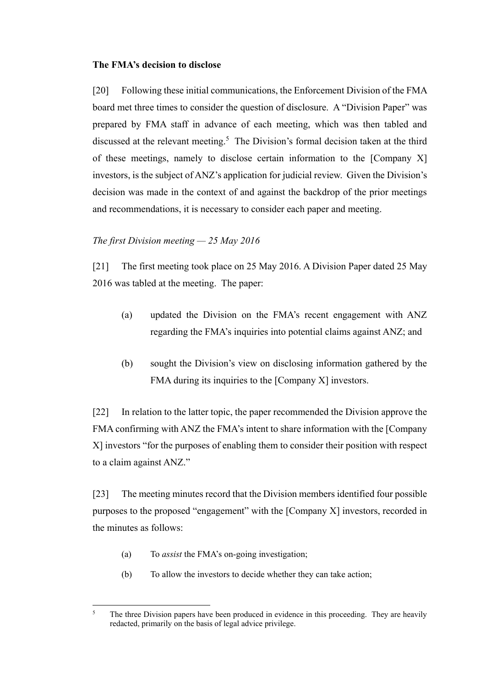## <span id="page-6-0"></span>**The FMA's decision to disclose**

[20] Following these initial communications, the Enforcement Division of the FMA board met three times to consider the question of disclosure. A "Division Paper" was prepared by FMA staff in advance of each meeting, which was then tabled and discussed at the relevant meeting.<sup>5</sup> The Division's formal decision taken at the third of these meetings, namely to disclose certain information to the [Company X] investors, is the subject of ANZ's application for judicial review. Given the Division's decision was made in the context of and against the backdrop of the prior meetings and recommendations, it is necessary to consider each paper and meeting.

## <span id="page-6-1"></span>*The first Division meeting — 25 May 2016*

[21] The first meeting took place on 25 May 2016. A Division Paper dated 25 May 2016 was tabled at the meeting. The paper:

- (a) updated the Division on the FMA's recent engagement with ANZ regarding the FMA's inquiries into potential claims against ANZ; and
- (b) sought the Division's view on disclosing information gathered by the FMA during its inquiries to the [Company X] investors.

[22] In relation to the latter topic, the paper recommended the Division approve the FMA confirming with ANZ the FMA's intent to share information with the [Company X] investors "for the purposes of enabling them to consider their position with respect to a claim against ANZ."

[23] The meeting minutes record that the Division members identified four possible purposes to the proposed "engagement" with the [Company X] investors, recorded in the minutes as follows:

- (a) To *assist* the FMA's on-going investigation;
- (b) To allow the investors to decide whether they can take action;

 $\overline{5}$ The three Division papers have been produced in evidence in this proceeding. They are heavily redacted, primarily on the basis of legal advice privilege.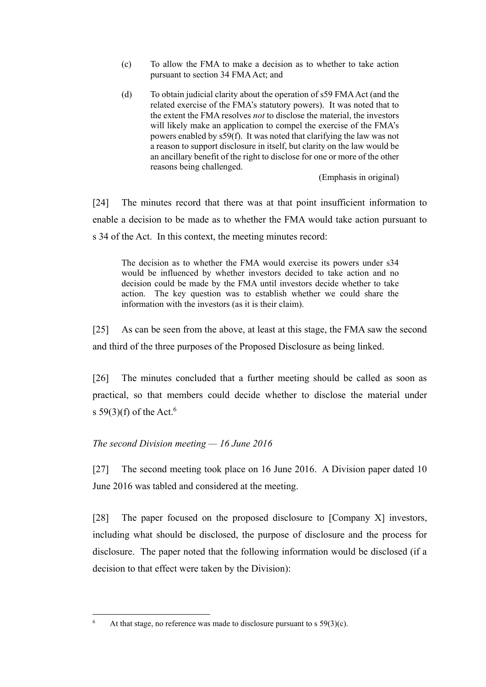- (c) To allow the FMA to make a decision as to whether to take action pursuant to section 34 FMA Act; and
- (d) To obtain judicial clarity about the operation of s59 FMA Act (and the related exercise of the FMA's statutory powers). It was noted that to the extent the FMA resolves *not* to disclose the material, the investors will likely make an application to compel the exercise of the FMA's powers enabled by s59(f). It was noted that clarifying the law was not a reason to support disclosure in itself, but clarity on the law would be an ancillary benefit of the right to disclose for one or more of the other reasons being challenged.

(Emphasis in original)

[24] The minutes record that there was at that point insufficient information to enable a decision to be made as to whether the FMA would take action pursuant to s 34 of the Act. In this context, the meeting minutes record:

The decision as to whether the FMA would exercise its powers under s34 would be influenced by whether investors decided to take action and no decision could be made by the FMA until investors decide whether to take action. The key question was to establish whether we could share the information with the investors (as it is their claim).

[25] As can be seen from the above, at least at this stage, the FMA saw the second and third of the three purposes of the Proposed Disclosure as being linked.

[26] The minutes concluded that a further meeting should be called as soon as practical, so that members could decide whether to disclose the material under s  $59(3)(f)$  of the Act.<sup>6</sup>

# <span id="page-7-0"></span>*The second Division meeting — 16 June 2016*

 $\overline{a}$ 

[27] The second meeting took place on 16 June 2016. A Division paper dated 10 June 2016 was tabled and considered at the meeting.

[28] The paper focused on the proposed disclosure to [Company X] investors, including what should be disclosed, the purpose of disclosure and the process for disclosure. The paper noted that the following information would be disclosed (if a decision to that effect were taken by the Division):

<sup>&</sup>lt;sup>6</sup> At that stage, no reference was made to disclosure pursuant to s  $59(3)(c)$ .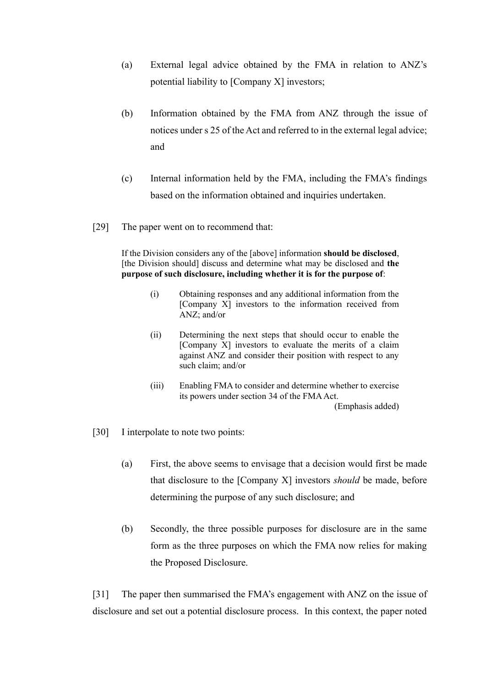- (a) External legal advice obtained by the FMA in relation to ANZ's potential liability to [Company X] investors;
- (b) Information obtained by the FMA from ANZ through the issue of notices under s 25 of the Act and referred to in the external legal advice; and
- (c) Internal information held by the FMA, including the FMA's findings based on the information obtained and inquiries undertaken.
- [29] The paper went on to recommend that:

If the Division considers any of the [above] information **should be disclosed**, [the Division should] discuss and determine what may be disclosed and **the purpose of such disclosure, including whether it is for the purpose of**:

- (i) Obtaining responses and any additional information from the [Company X] investors to the information received from ANZ; and/or
- (ii) Determining the next steps that should occur to enable the [Company X] investors to evaluate the merits of a claim against ANZ and consider their position with respect to any such claim; and/or
- (iii) Enabling FMA to consider and determine whether to exercise its powers under section 34 of the FMA Act. (Emphasis added)
- [30] I interpolate to note two points:
	- (a) First, the above seems to envisage that a decision would first be made that disclosure to the [Company X] investors *should* be made, before determining the purpose of any such disclosure; and
	- (b) Secondly, the three possible purposes for disclosure are in the same form as the three purposes on which the FMA now relies for making the Proposed Disclosure.

[31] The paper then summarised the FMA's engagement with ANZ on the issue of disclosure and set out a potential disclosure process. In this context, the paper noted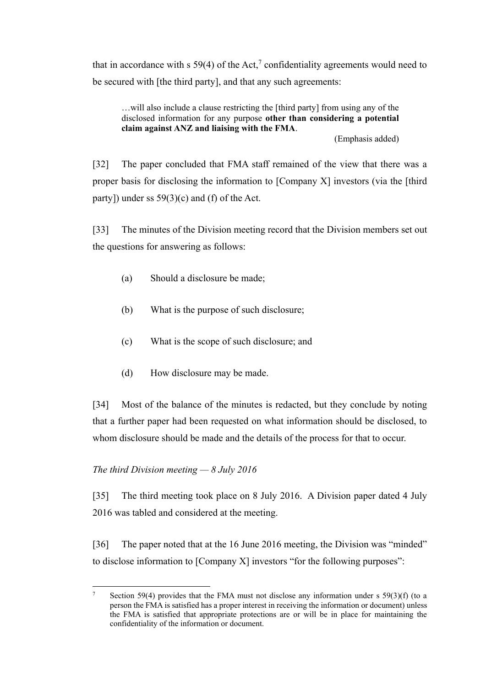that in accordance with s 59(4) of the Act,<sup>7</sup> confidentiality agreements would need to be secured with [the third party], and that any such agreements:

…will also include a clause restricting the [third party] from using any of the disclosed information for any purpose **other than considering a potential claim against ANZ and liaising with the FMA**.

(Emphasis added)

[32] The paper concluded that FMA staff remained of the view that there was a proper basis for disclosing the information to [Company X] investors (via the [third party]) under ss  $59(3)(c)$  and (f) of the Act.

[33] The minutes of the Division meeting record that the Division members set out the questions for answering as follows:

- (a) Should a disclosure be made;
- (b) What is the purpose of such disclosure;
- (c) What is the scope of such disclosure; and
- (d) How disclosure may be made.

[34] Most of the balance of the minutes is redacted, but they conclude by noting that a further paper had been requested on what information should be disclosed, to whom disclosure should be made and the details of the process for that to occur.

# <span id="page-9-0"></span>*The third Division meeting — 8 July 2016*

[35] The third meeting took place on 8 July 2016. A Division paper dated 4 July 2016 was tabled and considered at the meeting.

[36] The paper noted that at the 16 June 2016 meeting, the Division was "minded" to disclose information to [Company X] investors "for the following purposes":

 $\overline{a}$ <sup>7</sup> Section 59(4) provides that the FMA must not disclose any information under s 59(3)(f) (to a person the FMA is satisfied has a proper interest in receiving the information or document) unless the FMA is satisfied that appropriate protections are or will be in place for maintaining the confidentiality of the information or document.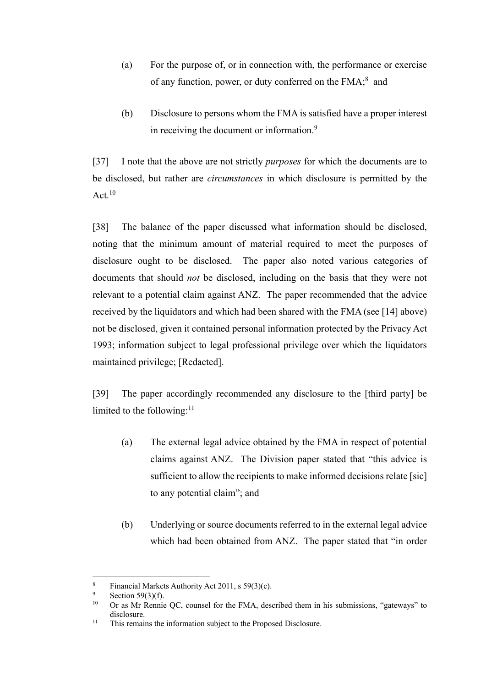- (a) For the purpose of, or in connection with, the performance or exercise of any function, power, or duty conferred on the FMA;<sup>8</sup> and
- (b) Disclosure to persons whom the FMA is satisfied have a proper interest in receiving the document or information.<sup>9</sup>

[37] I note that the above are not strictly *purposes* for which the documents are to be disclosed, but rather are *circumstances* in which disclosure is permitted by the Act. $^{10}$ 

<span id="page-10-1"></span>[38] The balance of the paper discussed what information should be disclosed, noting that the minimum amount of material required to meet the purposes of disclosure ought to be disclosed. The paper also noted various categories of documents that should *not* be disclosed, including on the basis that they were not relevant to a potential claim against ANZ. The paper recommended that the advice received by the liquidators and which had been shared with the FMA (see [\[14\]](#page-5-0) above) not be disclosed, given it contained personal information protected by the Privacy Act 1993; information subject to legal professional privilege over which the liquidators maintained privilege; [Redacted].

<span id="page-10-0"></span>[39] The paper accordingly recommended any disclosure to the [third party] be limited to the following:<sup>11</sup>

- (a) The external legal advice obtained by the FMA in respect of potential claims against ANZ. The Division paper stated that "this advice is sufficient to allow the recipients to make informed decisions relate [sic] to any potential claim"; and
- (b) Underlying or source documents referred to in the external legal advice which had been obtained from ANZ. The paper stated that "in order

 $\overline{a}$ 

<sup>&</sup>lt;sup>8</sup> Financial Markets Authority Act 2011, s 59(3)(c).<br>
<sup>9</sup> Section 50(2)(6)

<sup>&</sup>lt;sup>9</sup> Section 59(3)(f).<br><sup>10</sup> Or as Mr Poppis

Or as Mr Rennie QC, counsel for the FMA, described them in his submissions, "gateways" to disclosure.

<sup>11</sup> This remains the information subject to the Proposed Disclosure.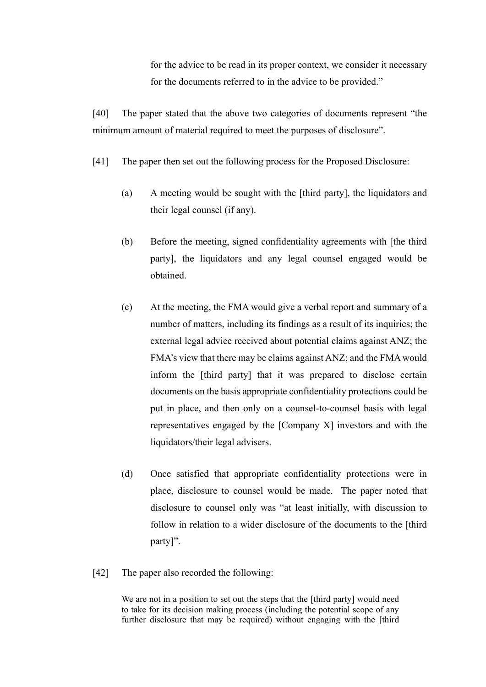for the advice to be read in its proper context, we consider it necessary for the documents referred to in the advice to be provided."

[40] The paper stated that the above two categories of documents represent "the minimum amount of material required to meet the purposes of disclosure".

- [41] The paper then set out the following process for the Proposed Disclosure:
	- (a) A meeting would be sought with the [third party], the liquidators and their legal counsel (if any).
	- (b) Before the meeting, signed confidentiality agreements with [the third party], the liquidators and any legal counsel engaged would be obtained.
	- (c) At the meeting, the FMA would give a verbal report and summary of a number of matters, including its findings as a result of its inquiries; the external legal advice received about potential claims against ANZ; the FMA's view that there may be claims against ANZ; and the FMA would inform the [third party] that it was prepared to disclose certain documents on the basis appropriate confidentiality protections could be put in place, and then only on a counsel-to-counsel basis with legal representatives engaged by the [Company X] investors and with the liquidators/their legal advisers.
	- (d) Once satisfied that appropriate confidentiality protections were in place, disclosure to counsel would be made. The paper noted that disclosure to counsel only was "at least initially, with discussion to follow in relation to a wider disclosure of the documents to the [third party]".
- [42] The paper also recorded the following:

We are not in a position to set out the steps that the [third party] would need to take for its decision making process (including the potential scope of any further disclosure that may be required) without engaging with the [third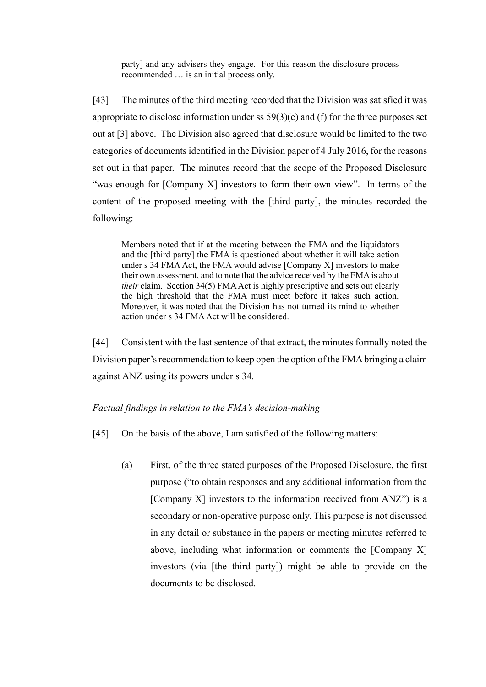party] and any advisers they engage. For this reason the disclosure process recommended … is an initial process only.

[43] The minutes of the third meeting recorded that the Division was satisfied it was appropriate to disclose information under ss 59(3)(c) and (f) for the three purposes set out at [\[3\]](#page-2-0) above. The Division also agreed that disclosure would be limited to the two categories of documents identified in the Division paper of 4 July 2016, for the reasons set out in that paper. The minutes record that the scope of the Proposed Disclosure "was enough for [Company X] investors to form their own view". In terms of the content of the proposed meeting with the [third party], the minutes recorded the following:

Members noted that if at the meeting between the FMA and the liquidators and the [third party] the FMA is questioned about whether it will take action under s 34 FMA Act, the FMA would advise [Company X] investors to make their own assessment, and to note that the advice received by the FMA is about *their* claim. Section 34(5) FMA Act is highly prescriptive and sets out clearly the high threshold that the FMA must meet before it takes such action. Moreover, it was noted that the Division has not turned its mind to whether action under s 34 FMA Act will be considered.

[44] Consistent with the last sentence of that extract, the minutes formally noted the Division paper's recommendation to keep open the option of the FMA bringing a claim against ANZ using its powers under s 34.

## <span id="page-12-0"></span>*Factual findings in relation to the FMA's decision-making*

- <span id="page-12-2"></span><span id="page-12-1"></span>[45] On the basis of the above, I am satisfied of the following matters:
	- (a) First, of the three stated purposes of the Proposed Disclosure, the first purpose ("to obtain responses and any additional information from the [Company X] investors to the information received from ANZ") is a secondary or non-operative purpose only. This purpose is not discussed in any detail or substance in the papers or meeting minutes referred to above, including what information or comments the [Company X] investors (via [the third party]) might be able to provide on the documents to be disclosed.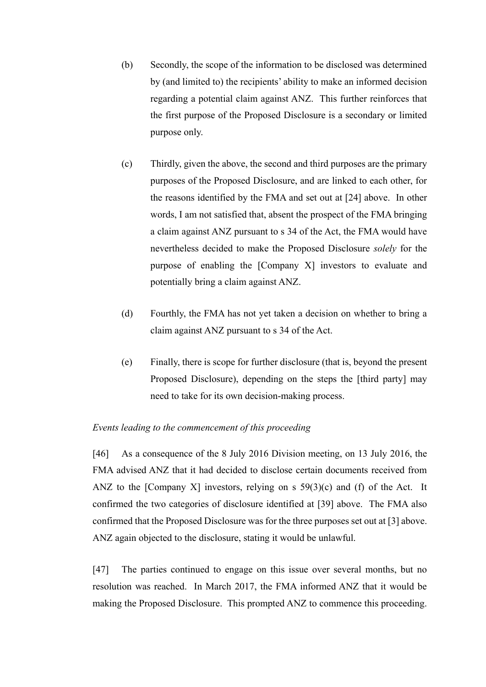- (b) Secondly, the scope of the information to be disclosed was determined by (and limited to) the recipients' ability to make an informed decision regarding a potential claim against ANZ. This further reinforces that the first purpose of the Proposed Disclosure is a secondary or limited purpose only.
- (c) Thirdly, given the above, the second and third purposes are the primary purposes of the Proposed Disclosure, and are linked to each other, for the reasons identified by the FMA and set out at [24] above. In other words, I am not satisfied that, absent the prospect of the FMA bringing a claim against ANZ pursuant to s 34 of the Act, the FMA would have nevertheless decided to make the Proposed Disclosure *solely* for the purpose of enabling the [Company X] investors to evaluate and potentially bring a claim against ANZ.
- (d) Fourthly, the FMA has not yet taken a decision on whether to bring a claim against ANZ pursuant to s 34 of the Act.
- (e) Finally, there is scope for further disclosure (that is, beyond the present Proposed Disclosure), depending on the steps the [third party] may need to take for its own decision-making process.

### <span id="page-13-0"></span>*Events leading to the commencement of this proceeding*

[46] As a consequence of the 8 July 2016 Division meeting, on 13 July 2016, the FMA advised ANZ that it had decided to disclose certain documents received from ANZ to the [Company X] investors, relying on s  $59(3)(c)$  and (f) of the Act. It confirmed the two categories of disclosure identified at [\[39\]](#page-10-0) above. The FMA also confirmed that the Proposed Disclosure was for the three purposes set out at [\[3\]](#page-2-0) above. ANZ again objected to the disclosure, stating it would be unlawful.

[47] The parties continued to engage on this issue over several months, but no resolution was reached. In March 2017, the FMA informed ANZ that it would be making the Proposed Disclosure. This prompted ANZ to commence this proceeding.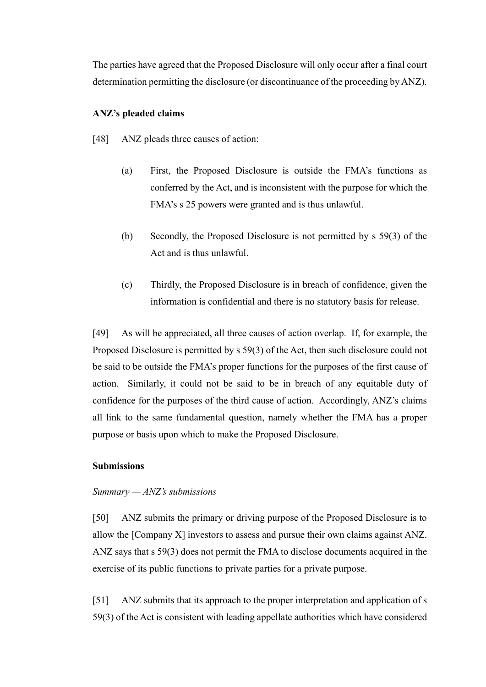The parties have agreed that the Proposed Disclosure will only occur after a final court determination permitting the disclosure (or discontinuance of the proceeding by ANZ).

## <span id="page-14-0"></span>**ANZ's pleaded claims**

- [48] ANZ pleads three causes of action:
	- (a) First, the Proposed Disclosure is outside the FMA's functions as conferred by the Act, and is inconsistent with the purpose for which the FMA's s 25 powers were granted and is thus unlawful.
	- (b) Secondly, the Proposed Disclosure is not permitted by s 59(3) of the Act and is thus unlawful.
	- (c) Thirdly, the Proposed Disclosure is in breach of confidence, given the information is confidential and there is no statutory basis for release.

[49] As will be appreciated, all three causes of action overlap. If, for example, the Proposed Disclosure is permitted by s 59(3) of the Act, then such disclosure could not be said to be outside the FMA's proper functions for the purposes of the first cause of action. Similarly, it could not be said to be in breach of any equitable duty of confidence for the purposes of the third cause of action. Accordingly, ANZ's claims all link to the same fundamental question, namely whether the FMA has a proper purpose or basis upon which to make the Proposed Disclosure.

### <span id="page-14-1"></span>**Submissions**

#### <span id="page-14-2"></span>*Summary — ANZ's submissions*

[50] ANZ submits the primary or driving purpose of the Proposed Disclosure is to allow the [Company X] investors to assess and pursue their own claims against ANZ. ANZ says that s 59(3) does not permit the FMA to disclose documents acquired in the exercise of its public functions to private parties for a private purpose.

[51] ANZ submits that its approach to the proper interpretation and application of s 59(3) of the Act is consistent with leading appellate authorities which have considered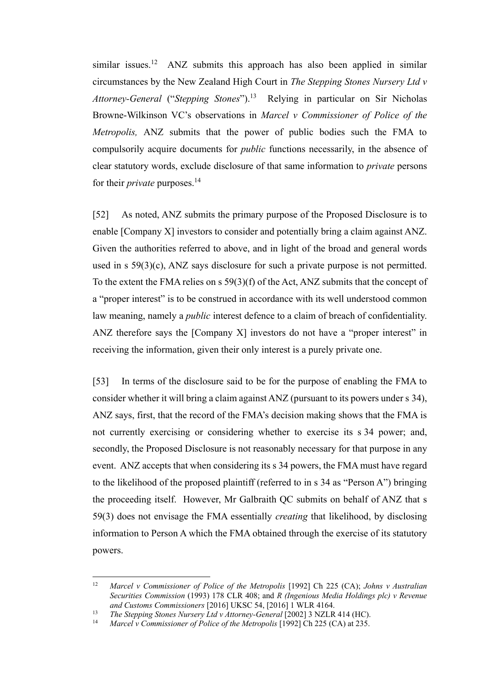<span id="page-15-0"></span>similar issues.<sup>12</sup> ANZ submits this approach has also been applied in similar circumstances by the New Zealand High Court in *The Stepping Stones Nursery Ltd v Attorney-General* ("*Stepping Stones*").<sup>13</sup> Relying in particular on Sir Nicholas Browne-Wilkinson VC's observations in *Marcel v Commissioner of Police of the Metropolis,* ANZ submits that the power of public bodies such the FMA to compulsorily acquire documents for *public* functions necessarily, in the absence of clear statutory words, exclude disclosure of that same information to *private* persons for their *private* purposes.<sup>14</sup>

[52] As noted, ANZ submits the primary purpose of the Proposed Disclosure is to enable [Company X] investors to consider and potentially bring a claim against ANZ. Given the authorities referred to above, and in light of the broad and general words used in s 59(3)(c), ANZ says disclosure for such a private purpose is not permitted. To the extent the FMA relies on s 59(3)(f) of the Act, ANZ submits that the concept of a "proper interest" is to be construed in accordance with its well understood common law meaning, namely a *public* interest defence to a claim of breach of confidentiality. ANZ therefore says the [Company X] investors do not have a "proper interest" in receiving the information, given their only interest is a purely private one.

[53] In terms of the disclosure said to be for the purpose of enabling the FMA to consider whether it will bring a claim against ANZ (pursuant to its powers under s 34), ANZ says, first, that the record of the FMA's decision making shows that the FMA is not currently exercising or considering whether to exercise its s 34 power; and, secondly, the Proposed Disclosure is not reasonably necessary for that purpose in any event. ANZ accepts that when considering its s 34 powers, the FMA must have regard to the likelihood of the proposed plaintiff (referred to in s 34 as "Person A") bringing the proceeding itself. However, Mr Galbraith QC submits on behalf of ANZ that s 59(3) does not envisage the FMA essentially *creating* that likelihood, by disclosing information to Person A which the FMA obtained through the exercise of its statutory powers.

 $12\,$ <sup>12</sup> *Marcel v Commissioner of Police of the Metropolis* [1992] Ch 225 (CA); *Johns v Australian Securities Commission* (1993) 178 CLR 408; and *R (Ingenious Media Holdings plc) v Revenue and Customs Commissioners* [2016] UKSC 54, [2016] 1 WLR 4164.

<sup>&</sup>lt;sup>13</sup> *The Stepping Stones Nursery Ltd v Attorney-General* [2002] 3 NZLR 414 (HC).

Marcel v Commissioner of Police of the Metropolis [1992] Ch 225 (CA) at 235.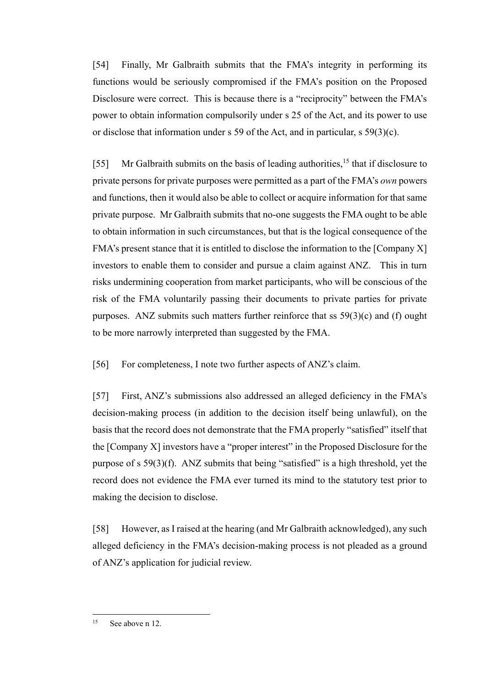[54] Finally, Mr Galbraith submits that the FMA's integrity in performing its functions would be seriously compromised if the FMA's position on the Proposed Disclosure were correct. This is because there is a "reciprocity" between the FMA's power to obtain information compulsorily under s 25 of the Act, and its power to use or disclose that information under s 59 of the Act, and in particular, s 59(3)(c).

[55] Mr Galbraith submits on the basis of leading authorities,  $15$  that if disclosure to private persons for private purposes were permitted as a part of the FMA's *own* powers and functions, then it would also be able to collect or acquire information for that same private purpose. Mr Galbraith submits that no-one suggests the FMA ought to be able to obtain information in such circumstances, but that is the logical consequence of the FMA's present stance that it is entitled to disclose the information to the [Company X] investors to enable them to consider and pursue a claim against ANZ. This in turn risks undermining cooperation from market participants, who will be conscious of the risk of the FMA voluntarily passing their documents to private parties for private purposes. ANZ submits such matters further reinforce that ss 59(3)(c) and (f) ought to be more narrowly interpreted than suggested by the FMA.

[56] For completeness, I note two further aspects of ANZ's claim.

[57] First, ANZ's submissions also addressed an alleged deficiency in the FMA's decision-making process (in addition to the decision itself being unlawful), on the basis that the record does not demonstrate that the FMA properly "satisfied" itself that the [Company X] investors have a "proper interest" in the Proposed Disclosure for the purpose of s 59(3)(f). ANZ submits that being "satisfied" is a high threshold, yet the record does not evidence the FMA ever turned its mind to the statutory test prior to making the decision to disclose.

[58] However, as I raised at the hearing (and Mr Galbraith acknowledged), any such alleged deficiency in the FMA's decision-making process is not pleaded as a ground of ANZ's application for judicial review.

 $\overline{a}$ 

 $15$  See above n [12.](#page-15-0)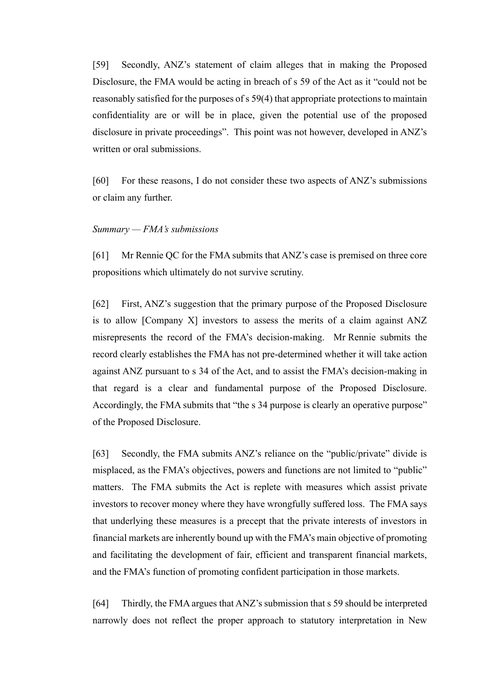[59] Secondly, ANZ's statement of claim alleges that in making the Proposed Disclosure, the FMA would be acting in breach of s 59 of the Act as it "could not be reasonably satisfied for the purposes of s 59(4) that appropriate protections to maintain confidentiality are or will be in place, given the potential use of the proposed disclosure in private proceedings". This point was not however, developed in ANZ's written or oral submissions.

[60] For these reasons, I do not consider these two aspects of ANZ's submissions or claim any further.

#### <span id="page-17-0"></span>*Summary — FMA's submissions*

[61] Mr Rennie QC for the FMA submits that ANZ's case is premised on three core propositions which ultimately do not survive scrutiny.

[62] First, ANZ's suggestion that the primary purpose of the Proposed Disclosure is to allow [Company X] investors to assess the merits of a claim against ANZ misrepresents the record of the FMA's decision-making. Mr Rennie submits the record clearly establishes the FMA has not pre-determined whether it will take action against ANZ pursuant to s 34 of the Act, and to assist the FMA's decision-making in that regard is a clear and fundamental purpose of the Proposed Disclosure. Accordingly, the FMA submits that "the s 34 purpose is clearly an operative purpose" of the Proposed Disclosure.

[63] Secondly, the FMA submits ANZ's reliance on the "public/private" divide is misplaced, as the FMA's objectives, powers and functions are not limited to "public" matters. The FMA submits the Act is replete with measures which assist private investors to recover money where they have wrongfully suffered loss. The FMA says that underlying these measures is a precept that the private interests of investors in financial markets are inherently bound up with the FMA's main objective of promoting and facilitating the development of fair, efficient and transparent financial markets, and the FMA's function of promoting confident participation in those markets.

[64] Thirdly, the FMA argues that ANZ's submission that s 59 should be interpreted narrowly does not reflect the proper approach to statutory interpretation in New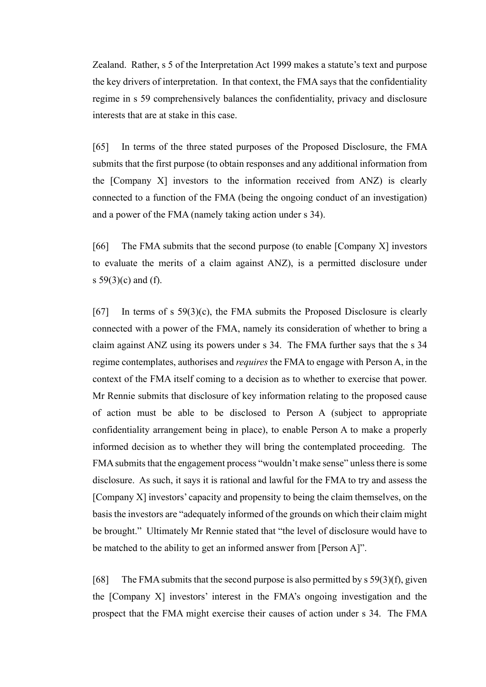Zealand. Rather, s 5 of the Interpretation Act 1999 makes a statute's text and purpose the key drivers of interpretation. In that context, the FMA says that the confidentiality regime in s 59 comprehensively balances the confidentiality, privacy and disclosure interests that are at stake in this case.

[65] In terms of the three stated purposes of the Proposed Disclosure, the FMA submits that the first purpose (to obtain responses and any additional information from the [Company X] investors to the information received from ANZ) is clearly connected to a function of the FMA (being the ongoing conduct of an investigation) and a power of the FMA (namely taking action under s 34).

[66] The FMA submits that the second purpose (to enable [Company X] investors to evaluate the merits of a claim against ANZ), is a permitted disclosure under s  $59(3)(c)$  and (f).

<span id="page-18-0"></span>[67] In terms of s  $59(3)(c)$ , the FMA submits the Proposed Disclosure is clearly connected with a power of the FMA, namely its consideration of whether to bring a claim against ANZ using its powers under s 34. The FMA further says that the s 34 regime contemplates, authorises and *requires* the FMA to engage with Person A, in the context of the FMA itself coming to a decision as to whether to exercise that power. Mr Rennie submits that disclosure of key information relating to the proposed cause of action must be able to be disclosed to Person A (subject to appropriate confidentiality arrangement being in place), to enable Person A to make a properly informed decision as to whether they will bring the contemplated proceeding. The FMA submits that the engagement process "wouldn't make sense" unless there is some disclosure. As such, it says it is rational and lawful for the FMA to try and assess the [Company X] investors' capacity and propensity to being the claim themselves, on the basis the investors are "adequately informed of the grounds on which their claim might be brought." Ultimately Mr Rennie stated that "the level of disclosure would have to be matched to the ability to get an informed answer from [Person A]".

[68] The FMA submits that the second purpose is also permitted by  $s\ 59(3)(f)$ , given the [Company X] investors' interest in the FMA's ongoing investigation and the prospect that the FMA might exercise their causes of action under s 34. The FMA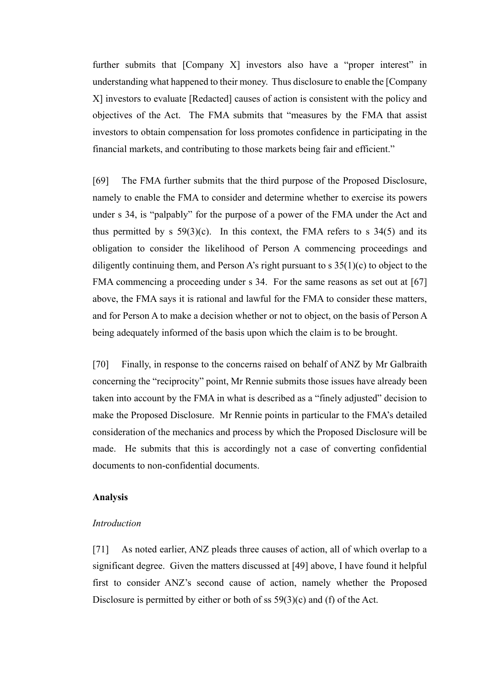further submits that [Company X] investors also have a "proper interest" in understanding what happened to their money. Thus disclosure to enable the [Company X] investors to evaluate [Redacted] causes of action is consistent with the policy and objectives of the Act. The FMA submits that "measures by the FMA that assist investors to obtain compensation for loss promotes confidence in participating in the financial markets, and contributing to those markets being fair and efficient."

[69] The FMA further submits that the third purpose of the Proposed Disclosure, namely to enable the FMA to consider and determine whether to exercise its powers under s 34, is "palpably" for the purpose of a power of the FMA under the Act and thus permitted by s  $59(3)(c)$ . In this context, the FMA refers to s  $34(5)$  and its obligation to consider the likelihood of Person A commencing proceedings and diligently continuing them, and Person A's right pursuant to  $s$  35(1)(c) to object to the FMA commencing a proceeding under s 34. For the same reasons as set out at [\[67\]](#page-18-0) above, the FMA says it is rational and lawful for the FMA to consider these matters, and for Person A to make a decision whether or not to object, on the basis of Person A being adequately informed of the basis upon which the claim is to be brought.

[70] Finally, in response to the concerns raised on behalf of ANZ by Mr Galbraith concerning the "reciprocity" point, Mr Rennie submits those issues have already been taken into account by the FMA in what is described as a "finely adjusted" decision to make the Proposed Disclosure. Mr Rennie points in particular to the FMA's detailed consideration of the mechanics and process by which the Proposed Disclosure will be made. He submits that this is accordingly not a case of converting confidential documents to non-confidential documents.

## <span id="page-19-0"></span>**Analysis**

#### <span id="page-19-1"></span>*Introduction*

[71] As noted earlier, ANZ pleads three causes of action, all of which overlap to a significant degree. Given the matters discussed at [49] above, I have found it helpful first to consider ANZ's second cause of action, namely whether the Proposed Disclosure is permitted by either or both of ss 59(3)(c) and (f) of the Act.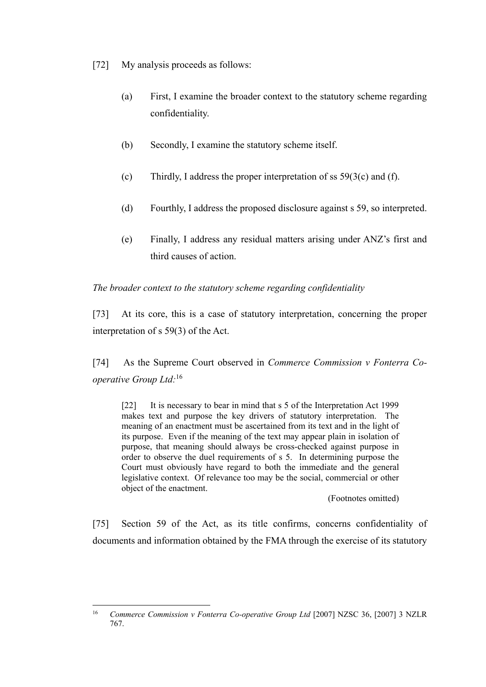[72] My analysis proceeds as follows:

- (a) First, I examine the broader context to the statutory scheme regarding confidentiality.
- (b) Secondly, I examine the statutory scheme itself.
- (c) Thirdly, I address the proper interpretation of ss  $59(3(c)$  and (f).
- (d) Fourthly, I address the proposed disclosure against s 59, so interpreted.
- (e) Finally, I address any residual matters arising under ANZ's first and third causes of action.

<span id="page-20-0"></span>*The broader context to the statutory scheme regarding confidentiality*

<span id="page-20-2"></span>[73] At its core, this is a case of statutory interpretation, concerning the proper interpretation of s 59(3) of the Act.

[74] As the Supreme Court observed in *Commerce Commission v Fonterra Cooperative Group Ltd:*<sup>16</sup>

[22] It is necessary to bear in mind that s 5 of the Interpretation Act 1999 makes text and purpose the key drivers of statutory interpretation. The meaning of an enactment must be ascertained from its text and in the light of its purpose. Even if the meaning of the text may appear plain in isolation of purpose, that meaning should always be cross-checked against purpose in order to observe the duel requirements of s 5. In determining purpose the Court must obviously have regard to both the immediate and the general legislative context. Of relevance too may be the social, commercial or other object of the enactment.

(Footnotes omitted)

<span id="page-20-1"></span>[75] Section 59 of the Act, as its title confirms, concerns confidentiality of documents and information obtained by the FMA through the exercise of its statutory

 $16$ <sup>16</sup> *Commerce Commission v Fonterra Co-operative Group Ltd* [2007] NZSC 36, [2007] 3 NZLR 767.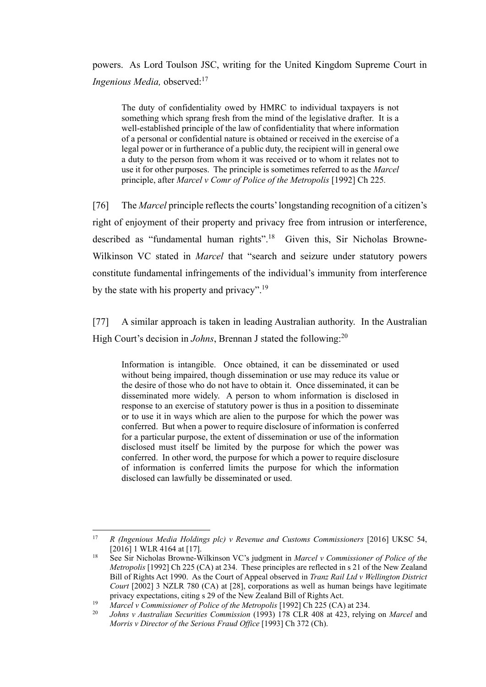powers. As Lord Toulson JSC, writing for the United Kingdom Supreme Court in *Ingenious Media, observed*:<sup>17</sup>

The duty of confidentiality owed by HMRC to individual taxpayers is not something which sprang fresh from the mind of the legislative drafter. It is a well-established principle of the law of confidentiality that where information of a personal or confidential nature is obtained or received in the exercise of a legal power or in furtherance of a public duty, the recipient will in general owe a duty to the person from whom it was received or to whom it relates not to use it for other purposes. The principle is sometimes referred to as the *Marcel* principle, after *Marcel v Comr of Police of the Metropolis* [1992] Ch 225*.*

[76] The *Marcel* principle reflects the courts' longstanding recognition of a citizen's right of enjoyment of their property and privacy free from intrusion or interference, described as "fundamental human rights".<sup>18</sup> Given this, Sir Nicholas Browne-Wilkinson VC stated in *Marcel* that "search and seizure under statutory powers constitute fundamental infringements of the individual's immunity from interference by the state with his property and privacy".<sup>19</sup>

[77] A similar approach is taken in leading Australian authority. In the Australian High Court's decision in *Johns*, Brennan J stated the following:<sup>20</sup>

Information is intangible. Once obtained, it can be disseminated or used without being impaired, though dissemination or use may reduce its value or the desire of those who do not have to obtain it. Once disseminated, it can be disseminated more widely. A person to whom information is disclosed in response to an exercise of statutory power is thus in a position to disseminate or to use it in ways which are alien to the purpose for which the power was conferred. But when a power to require disclosure of information is conferred for a particular purpose, the extent of dissemination or use of the information disclosed must itself be limited by the purpose for which the power was conferred. In other word, the purpose for which a power to require disclosure of information is conferred limits the purpose for which the information disclosed can lawfully be disseminated or used.

 $\overline{a}$ 

<sup>17</sup> *R (Ingenious Media Holdings plc) v Revenue and Customs Commissioners* [2016] UKSC 54, [2016] 1 WLR 4164 at [17].

<sup>18</sup> See Sir Nicholas Browne-Wilkinson VC's judgment in *Marcel v Commissioner of Police of the Metropolis* [1992] Ch 225 (CA) at 234. These principles are reflected in s 21 of the New Zealand Bill of Rights Act 1990. As the Court of Appeal observed in *Tranz Rail Ltd v Wellington District Court* [2002] 3 NZLR 780 (CA) at [28], corporations as well as human beings have legitimate privacy expectations, citing s 29 of the New Zealand Bill of Rights Act.

<sup>&</sup>lt;sup>19</sup> *Marcel v Commissioner of Police of the Metropolis* [1992] Ch 225 (CA) at 234.

<sup>20</sup> *Johns v Australian Securities Commission* (1993) 178 CLR 408 at 423, relying on *Marcel* and *Morris v Director of the Serious Fraud Office* [1993] Ch 372 (Ch).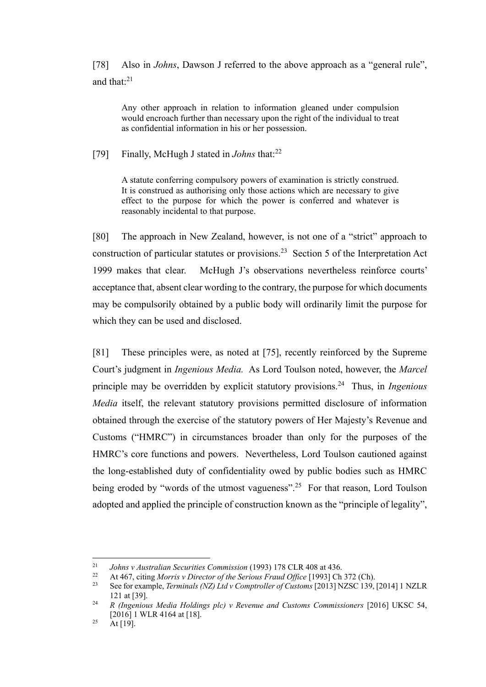[78] Also in *Johns*, Dawson J referred to the above approach as a "general rule", and that:<sup>21</sup>

Any other approach in relation to information gleaned under compulsion would encroach further than necessary upon the right of the individual to treat as confidential information in his or her possession.

[79] Finally, McHugh J stated in *Johns* that:<sup>22</sup>

A statute conferring compulsory powers of examination is strictly construed. It is construed as authorising only those actions which are necessary to give effect to the purpose for which the power is conferred and whatever is reasonably incidental to that purpose.

[80] The approach in New Zealand, however, is not one of a "strict" approach to construction of particular statutes or provisions.<sup>23</sup> Section 5 of the Interpretation Act 1999 makes that clear. McHugh J's observations nevertheless reinforce courts' acceptance that, absent clear wording to the contrary, the purpose for which documents may be compulsorily obtained by a public body will ordinarily limit the purpose for which they can be used and disclosed.

[81] These principles were, as noted at [\[75\],](#page-20-1) recently reinforced by the Supreme Court's judgment in *Ingenious Media.* As Lord Toulson noted, however, the *Marcel*  principle may be overridden by explicit statutory provisions.<sup>24</sup> Thus, in *Ingenious Media* itself, the relevant statutory provisions permitted disclosure of information obtained through the exercise of the statutory powers of Her Majesty's Revenue and Customs ("HMRC") in circumstances broader than only for the purposes of the HMRC's core functions and powers. Nevertheless, Lord Toulson cautioned against the long-established duty of confidentiality owed by public bodies such as HMRC being eroded by "words of the utmost vagueness".<sup>25</sup> For that reason, Lord Toulson adopted and applied the principle of construction known as the "principle of legality",

 $\overline{a}$ 

<sup>&</sup>lt;sup>21</sup> *Johns v Australian Securities Commission* (1993) 178 CLR 408 at 436.<br><sup>22</sup> At 467 aiting Morris v Director of the Servicus Fraud Office [1003] Ch

<sup>22</sup> At 467, citing *Morris v Director of the Serious Fraud Office* [1993] Ch 372 (Ch).<br>23 See for example *Terminals (NZ) I td.y Comptroller of Customs* [2013] NZSC 139

<sup>23</sup> See for example, *Terminals (NZ) Ltd v Comptroller of Customs* [2013] NZSC 139, [2014] 1 NZLR 121 at [39].

<sup>24</sup> *R (Ingenious Media Holdings plc) v Revenue and Customs Commissioners* [2016] UKSC 54, [2016] 1 WLR 4164 at [18].

 $25$  At [19].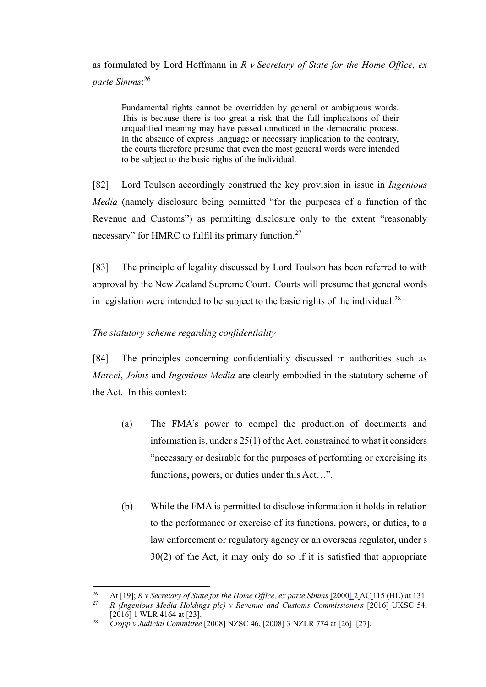as formulated by Lord Hoffmann in *R v Secretary of State for the Home Office, ex parte Simms*: 26

Fundamental rights cannot be overridden by general or ambiguous words. This is because there is too great a risk that the full implications of their unqualified meaning may have passed unnoticed in the democratic process. In the absence of express language or necessary implication to the contrary, the courts therefore presume that even the most general words were intended to be subject to the basic rights of the individual.

<span id="page-23-2"></span>[82] Lord Toulson accordingly construed the key provision in issue in *Ingenious Media* (namely disclosure being permitted "for the purposes of a function of the Revenue and Customs") as permitting disclosure only to the extent "reasonably necessary" for HMRC to fulfil its primary function.<sup>27</sup>

[83] The principle of legality discussed by Lord Toulson has been referred to with approval by the New Zealand Supreme Court. Courts will presume that general words in legislation were intended to be subject to the basic rights of the individual.<sup>28</sup>

## <span id="page-23-0"></span>*The statutory scheme regarding confidentiality*

<span id="page-23-1"></span>[84] The principles concerning confidentiality discussed in authorities such as *Marcel*, *Johns* and *Ingenious Media* are clearly embodied in the statutory scheme of the Act. In this context:

- (a) The FMA's power to compel the production of documents and information is, under s 25(1) of the Act, constrained to what it considers "necessary or desirable for the purposes of performing or exercising its functions, powers, or duties under this Act…".
- (b) While the FMA is permitted to disclose information it holds in relation to the performance or exercise of its functions, powers, or duties, to a law enforcement or regulatory agency or an overseas regulator, under s 30(2) of the Act, it may only do so if it is satisfied that appropriate

 $26$ 26 At [19]; *R v Secretary of State for the Home Office, ex parte Simms* [\[2000\] 2](https://www.iclr.co.uk/document/1991004603/casereport_27601/html) AC 115 (HL) at 131.<br>27 *P. Gragnious Media Holdings plc) y Revenue and Customs Commissioners* [2016] UKSC 54.

<sup>27</sup> *R (Ingenious Media Holdings plc) v Revenue and Customs Commissioners* [2016] UKSC 54, [2016] 1 WLR 4164 at [23].

<sup>28</sup> *Cropp v Judicial Committee* [2008] NZSC 46, [2008] 3 NZLR 774 at [26]–[27].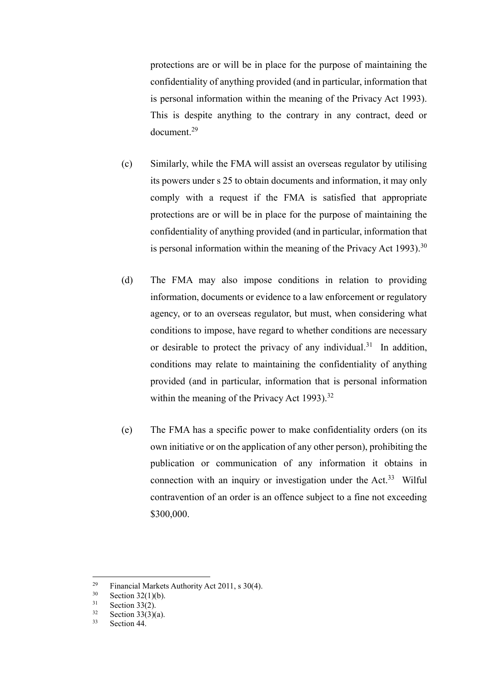protections are or will be in place for the purpose of maintaining the confidentiality of anything provided (and in particular, information that is personal information within the meaning of the Privacy Act 1993). This is despite anything to the contrary in any contract, deed or document.<sup>29</sup>

- (c) Similarly, while the FMA will assist an overseas regulator by utilising its powers under s 25 to obtain documents and information, it may only comply with a request if the FMA is satisfied that appropriate protections are or will be in place for the purpose of maintaining the confidentiality of anything provided (and in particular, information that is personal information within the meaning of the Privacy Act 1993).<sup>30</sup>
- (d) The FMA may also impose conditions in relation to providing information, documents or evidence to a law enforcement or regulatory agency, or to an overseas regulator, but must, when considering what conditions to impose, have regard to whether conditions are necessary or desirable to protect the privacy of any individual.<sup>31</sup> In addition, conditions may relate to maintaining the confidentiality of anything provided (and in particular, information that is personal information within the meaning of the Privacy Act 1993).<sup>32</sup>
- (e) The FMA has a specific power to make confidentiality orders (on its own initiative or on the application of any other person), prohibiting the publication or communication of any information it obtains in connection with an inquiry or investigation under the Act.<sup>33</sup> Wilful contravention of an order is an offence subject to a fine not exceeding \$300,000.

<sup>29</sup> <sup>29</sup> Financial Markets Authority Act 2011, s 30(4).<br>Section 32(1)(b)

 $30$  Section 32(1)(b).<br>31 Section 33(2)

 $31$  Section 33(2).

 $rac{32}{33}$  Section 33(3)(a).

Section 44.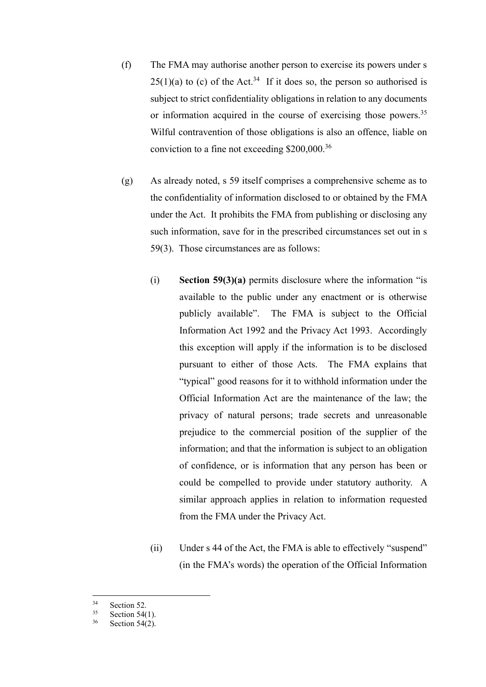- (f) The FMA may authorise another person to exercise its powers under s  $25(1)(a)$  to (c) of the Act.<sup>34</sup> If it does so, the person so authorised is subject to strict confidentiality obligations in relation to any documents or information acquired in the course of exercising those powers.<sup>35</sup> Wilful contravention of those obligations is also an offence, liable on conviction to a fine not exceeding \$200,000.<sup>36</sup>
- (g) As already noted, s 59 itself comprises a comprehensive scheme as to the confidentiality of information disclosed to or obtained by the FMA under the Act. It prohibits the FMA from publishing or disclosing any such information, save for in the prescribed circumstances set out in s 59(3). Those circumstances are as follows:
	- (i) **Section 59(3)(a)** permits disclosure where the information "is available to the public under any enactment or is otherwise publicly available". The FMA is subject to the Official Information Act 1992 and the Privacy Act 1993. Accordingly this exception will apply if the information is to be disclosed pursuant to either of those Acts. The FMA explains that "typical" good reasons for it to withhold information under the Official Information Act are the maintenance of the law; the privacy of natural persons; trade secrets and unreasonable prejudice to the commercial position of the supplier of the information; and that the information is subject to an obligation of confidence, or is information that any person has been or could be compelled to provide under statutory authority. A similar approach applies in relation to information requested from the FMA under the Privacy Act.
	- (ii) Under s 44 of the Act, the FMA is able to effectively "suspend" (in the FMA's words) the operation of the Official Information

 $\overline{a}$ 

 $rac{34}{35}$  Section 52.

Section  $54(1)$ .

<sup>36</sup> Section 54(2).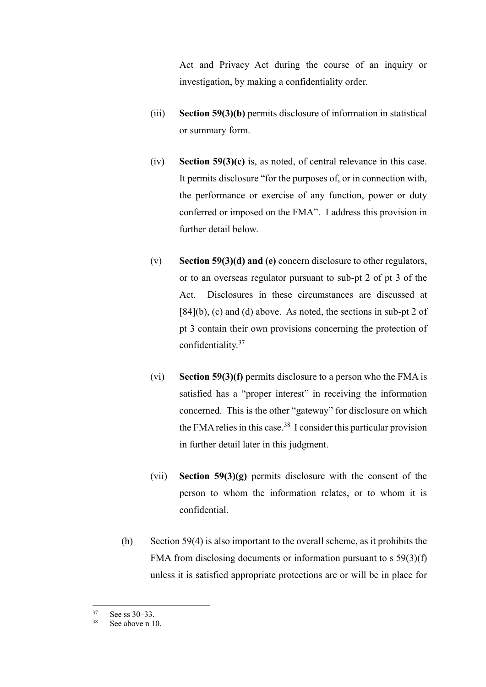Act and Privacy Act during the course of an inquiry or investigation, by making a confidentiality order.

- (iii) **Section 59(3)(b)** permits disclosure of information in statistical or summary form.
- (iv) **Section 59(3)(c)** is, as noted, of central relevance in this case. It permits disclosure "for the purposes of, or in connection with, the performance or exercise of any function, power or duty conferred or imposed on the FMA". I address this provision in further detail below.
- (v) **Section 59(3)(d) and (e)** concern disclosure to other regulators, or to an overseas regulator pursuant to sub-pt 2 of pt 3 of the Act. Disclosures in these circumstances are discussed at  $[84](b)$  $[84](b)$ , (c) and (d) above. As noted, the sections in sub-pt 2 of pt 3 contain their own provisions concerning the protection of confidentiality.<sup>37</sup>
- (vi) **Section 59(3)(f)** permits disclosure to a person who the FMA is satisfied has a "proper interest" in receiving the information concerned. This is the other "gateway" for disclosure on which the FMA relies in this case.<sup>38</sup> I consider this particular provision in further detail later in this judgment.
- (vii) **Section 59(3)(g)** permits disclosure with the consent of the person to whom the information relates, or to whom it is confidential.
- (h) Section 59(4) is also important to the overall scheme, as it prohibits the FMA from disclosing documents or information pursuant to s 59(3)(f) unless it is satisfied appropriate protections are or will be in place for

<sup>37</sup>  $\frac{37}{38}$  See ss 30–33.

See above n [10.](#page-10-1)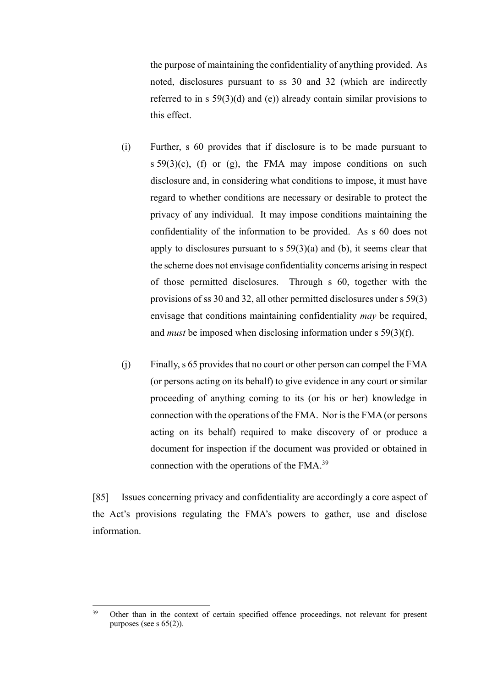the purpose of maintaining the confidentiality of anything provided. As noted, disclosures pursuant to ss 30 and 32 (which are indirectly referred to in s 59(3)(d) and (e)) already contain similar provisions to this effect.

- (i) Further, s 60 provides that if disclosure is to be made pursuant to s  $59(3)(c)$ , (f) or (g), the FMA may impose conditions on such disclosure and, in considering what conditions to impose, it must have regard to whether conditions are necessary or desirable to protect the privacy of any individual. It may impose conditions maintaining the confidentiality of the information to be provided. As s 60 does not apply to disclosures pursuant to  $s$  59(3)(a) and (b), it seems clear that the scheme does not envisage confidentiality concerns arising in respect of those permitted disclosures. Through s 60, together with the provisions of ss 30 and 32, all other permitted disclosures under s 59(3) envisage that conditions maintaining confidentiality *may* be required, and *must* be imposed when disclosing information under s 59(3)(f).
- (j) Finally, s 65 provides that no court or other person can compel the FMA (or persons acting on its behalf) to give evidence in any court or similar proceeding of anything coming to its (or his or her) knowledge in connection with the operations of the FMA. Nor is the FMA (or persons acting on its behalf) required to make discovery of or produce a document for inspection if the document was provided or obtained in connection with the operations of the FMA.<sup>39</sup>

[85] Issues concerning privacy and confidentiality are accordingly a core aspect of the Act's provisions regulating the FMA's powers to gather, use and disclose information.

<sup>39</sup> <sup>39</sup> Other than in the context of certain specified offence proceedings, not relevant for present purposes (see s  $65(2)$ ).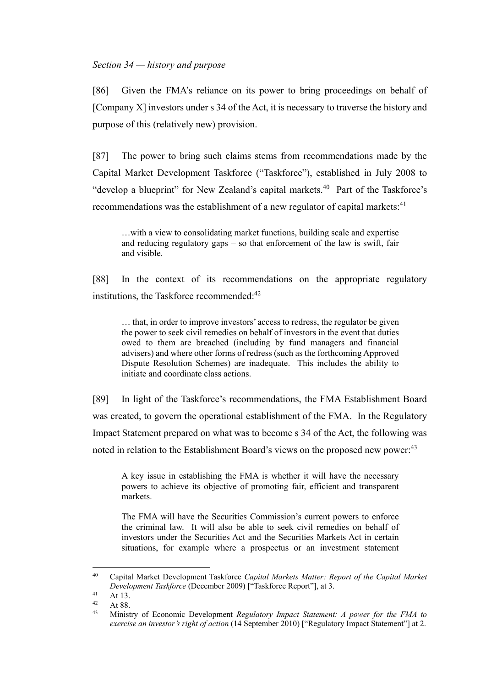## <span id="page-28-0"></span>*Section 34 — history and purpose*

<span id="page-28-1"></span>[86] Given the FMA's reliance on its power to bring proceedings on behalf of [Company X] investors under s 34 of the Act, it is necessary to traverse the history and purpose of this (relatively new) provision.

[87] The power to bring such claims stems from recommendations made by the Capital Market Development Taskforce ("Taskforce"), established in July 2008 to "develop a blueprint" for New Zealand's capital markets.<sup>40</sup> Part of the Taskforce's recommendations was the establishment of a new regulator of capital markets: $41$ 

…with a view to consolidating market functions, building scale and expertise and reducing regulatory gaps – so that enforcement of the law is swift, fair and visible.

[88] In the context of its recommendations on the appropriate regulatory institutions, the Taskforce recommended:<sup>42</sup>

… that, in order to improve investors' access to redress, the regulator be given the power to seek civil remedies on behalf of investors in the event that duties owed to them are breached (including by fund managers and financial advisers) and where other forms of redress (such as the forthcoming Approved Dispute Resolution Schemes) are inadequate. This includes the ability to initiate and coordinate class actions.

[89] In light of the Taskforce's recommendations, the FMA Establishment Board was created, to govern the operational establishment of the FMA. In the Regulatory Impact Statement prepared on what was to become s 34 of the Act, the following was noted in relation to the Establishment Board's views on the proposed new power:<sup>43</sup>

A key issue in establishing the FMA is whether it will have the necessary powers to achieve its objective of promoting fair, efficient and transparent markets.

The FMA will have the Securities Commission's current powers to enforce the criminal law. It will also be able to seek civil remedies on behalf of investors under the Securities Act and the Securities Markets Act in certain situations, for example where a prospectus or an investment statement

<sup>40</sup> <sup>40</sup> Capital Market Development Taskforce *Capital Markets Matter: Report of the Capital Market Development Taskforce* (December 2009) ["Taskforce Report"], at 3.

 $41$  At 13.

 $42$  At 88.

<sup>43</sup> Ministry of Economic Development *Regulatory Impact Statement: A power for the FMA to exercise an investor's right of action* (14 September 2010) ["Regulatory Impact Statement"] at 2.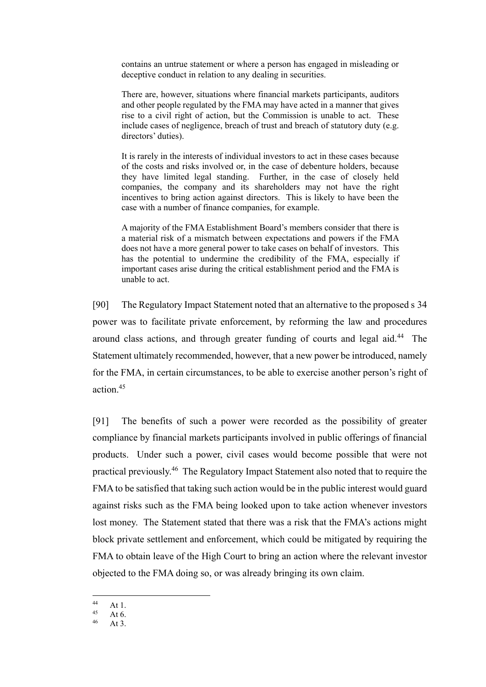contains an untrue statement or where a person has engaged in misleading or deceptive conduct in relation to any dealing in securities.

There are, however, situations where financial markets participants, auditors and other people regulated by the FMA may have acted in a manner that gives rise to a civil right of action, but the Commission is unable to act. These include cases of negligence, breach of trust and breach of statutory duty (e.g. directors' duties).

It is rarely in the interests of individual investors to act in these cases because of the costs and risks involved or, in the case of debenture holders, because they have limited legal standing. Further, in the case of closely held companies, the company and its shareholders may not have the right incentives to bring action against directors. This is likely to have been the case with a number of finance companies, for example.

A majority of the FMA Establishment Board's members consider that there is a material risk of a mismatch between expectations and powers if the FMA does not have a more general power to take cases on behalf of investors. This has the potential to undermine the credibility of the FMA, especially if important cases arise during the critical establishment period and the FMA is unable to act.

[90] The Regulatory Impact Statement noted that an alternative to the proposed s 34 power was to facilitate private enforcement, by reforming the law and procedures around class actions, and through greater funding of courts and legal aid.<sup>44</sup> The Statement ultimately recommended, however, that a new power be introduced, namely for the FMA, in certain circumstances, to be able to exercise another person's right of action.<sup>45</sup>

[91] The benefits of such a power were recorded as the possibility of greater compliance by financial markets participants involved in public offerings of financial products. Under such a power, civil cases would become possible that were not practical previously.<sup>46</sup> The Regulatory Impact Statement also noted that to require the FMA to be satisfied that taking such action would be in the public interest would guard against risks such as the FMA being looked upon to take action whenever investors lost money. The Statement stated that there was a risk that the FMA's actions might block private settlement and enforcement, which could be mitigated by requiring the FMA to obtain leave of the High Court to bring an action where the relevant investor objected to the FMA doing so, or was already bringing its own claim.

 $44$  $44$  At 1.

 $45$  At 6.

At  $3$ .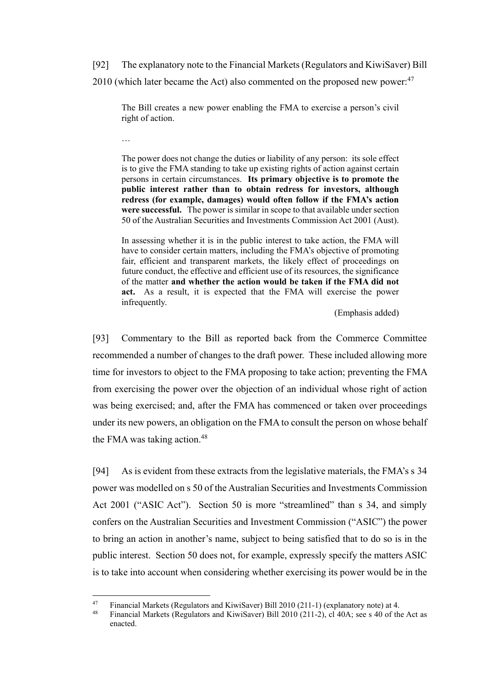[92] The explanatory note to the Financial Markets (Regulators and KiwiSaver) Bill 2010 (which later became the Act) also commented on the proposed new power: $47$ 

The Bill creates a new power enabling the FMA to exercise a person's civil right of action.

…

The power does not change the duties or liability of any person: its sole effect is to give the FMA standing to take up existing rights of action against certain persons in certain circumstances. **Its primary objective is to promote the public interest rather than to obtain redress for investors, although redress (for example, damages) would often follow if the FMA's action were successful.** The power is similar in scope to that available under section 50 of the Australian Securities and Investments Commission Act 2001 (Aust).

In assessing whether it is in the public interest to take action, the FMA will have to consider certain matters, including the FMA's objective of promoting fair, efficient and transparent markets, the likely effect of proceedings on future conduct, the effective and efficient use of its resources, the significance of the matter **and whether the action would be taken if the FMA did not act.** As a result, it is expected that the FMA will exercise the power infrequently.

(Emphasis added)

[93] Commentary to the Bill as reported back from the Commerce Committee recommended a number of changes to the draft power. These included allowing more time for investors to object to the FMA proposing to take action; preventing the FMA from exercising the power over the objection of an individual whose right of action was being exercised; and, after the FMA has commenced or taken over proceedings under its new powers, an obligation on the FMA to consult the person on whose behalf the FMA was taking action.<sup>48</sup>

<span id="page-30-0"></span>[94] As is evident from these extracts from the legislative materials, the FMA's s 34 power was modelled on s 50 of the Australian Securities and Investments Commission Act 2001 ("ASIC Act"). Section 50 is more "streamlined" than s 34, and simply confers on the Australian Securities and Investment Commission ("ASIC") the power to bring an action in another's name, subject to being satisfied that to do so is in the public interest. Section 50 does not, for example, expressly specify the matters ASIC is to take into account when considering whether exercising its power would be in the

<sup>47</sup> <sup>47</sup> Financial Markets (Regulators and KiwiSaver) Bill 2010 (211-1) (explanatory note) at 4.<br><sup>48</sup> Financial Markets (Regulators and KiwiSaver) Bill 2010 (211-2) el 40A; see s.40 of the

<sup>48</sup> Financial Markets (Regulators and KiwiSaver) Bill 2010 (211-2), cl 40A; see s 40 of the Act as enacted.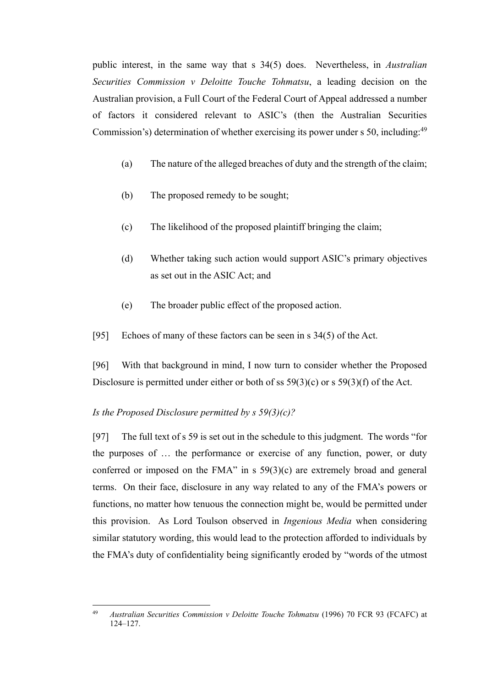public interest, in the same way that s 34(5) does. Nevertheless, in *Australian Securities Commission v Deloitte Touche Tohmatsu*, a leading decision on the Australian provision, a Full Court of the Federal Court of Appeal addressed a number of factors it considered relevant to ASIC's (then the Australian Securities Commission's) determination of whether exercising its power under s 50, including:<sup>49</sup>

- (a) The nature of the alleged breaches of duty and the strength of the claim;
- (b) The proposed remedy to be sought;
- (c) The likelihood of the proposed plaintiff bringing the claim;
- (d) Whether taking such action would support ASIC's primary objectives as set out in the ASIC Act; and
- (e) The broader public effect of the proposed action.
- <span id="page-31-1"></span>[95] Echoes of many of these factors can be seen in s 34(5) of the Act.

<span id="page-31-2"></span>[96] With that background in mind, I now turn to consider whether the Proposed Disclosure is permitted under either or both of ss  $59(3)(c)$  or s  $59(3)(f)$  of the Act.

#### <span id="page-31-0"></span>*Is the Proposed Disclosure permitted by s 59(3)(c)?*

[97] The full text of s 59 is set out in the schedule to this judgment. The words "for the purposes of … the performance or exercise of any function, power, or duty conferred or imposed on the FMA" in s 59(3)(c) are extremely broad and general terms. On their face, disclosure in any way related to any of the FMA's powers or functions, no matter how tenuous the connection might be, would be permitted under this provision. As Lord Toulson observed in *Ingenious Media* when considering similar statutory wording, this would lead to the protection afforded to individuals by the FMA's duty of confidentiality being significantly eroded by "words of the utmost

<sup>49</sup> <sup>49</sup> *Australian Securities Commission v Deloitte Touche Tohmatsu* (1996) 70 FCR 93 (FCAFC) at 124–127.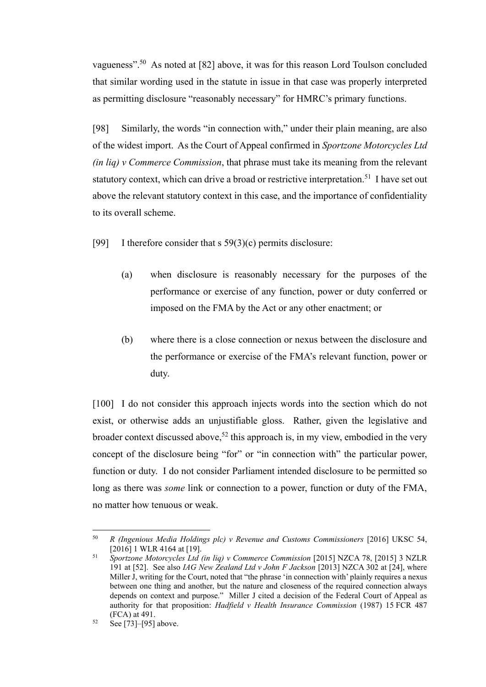vagueness".<sup>50</sup> As noted at [\[82\]](#page-23-2) above, it was for this reason Lord Toulson concluded that similar wording used in the statute in issue in that case was properly interpreted as permitting disclosure "reasonably necessary" for HMRC's primary functions.

[98] Similarly, the words "in connection with," under their plain meaning, are also of the widest import. As the Court of Appeal confirmed in *Sportzone Motorcycles Ltd (in liq) v Commerce Commission*, that phrase must take its meaning from the relevant statutory context, which can drive a broad or restrictive interpretation.<sup>51</sup> I have set out above the relevant statutory context in this case, and the importance of confidentiality to its overall scheme.

[99] I therefore consider that s  $59(3)(c)$  permits disclosure:

- (a) when disclosure is reasonably necessary for the purposes of the performance or exercise of any function, power or duty conferred or imposed on the FMA by the Act or any other enactment; or
- (b) where there is a close connection or nexus between the disclosure and the performance or exercise of the FMA's relevant function, power or duty.

[100] I do not consider this approach injects words into the section which do not exist, or otherwise adds an unjustifiable gloss. Rather, given the legislative and broader context discussed above,<sup>52</sup> this approach is, in my view, embodied in the very concept of the disclosure being "for" or "in connection with" the particular power, function or duty. I do not consider Parliament intended disclosure to be permitted so long as there was *some* link or connection to a power, function or duty of the FMA, no matter how tenuous or weak.

 $\overline{a}$ 

<sup>50</sup> *R (Ingenious Media Holdings plc) v Revenue and Customs Commissioners* [2016] UKSC 54, [2016] 1 WLR 4164 at [19].

<sup>51</sup> *Sportzone Motorcycles Ltd (in liq) v Commerce Commission* [2015] NZCA 78, [2015] 3 NZLR 191 at [52]. See also *IAG New Zealand Ltd v John F Jackson* [2013] NZCA 302 at [24], where Miller J, writing for the Court, noted that "the phrase 'in connection with' plainly requires a nexus between one thing and another, but the nature and closeness of the required connection always depends on context and purpose." Miller J cited a decision of the Federal Court of Appeal as authority for that proposition: *Hadfield v Health Insurance Commission* (1987) 15 FCR 487 (FCA) at 491.

<sup>52</sup> Se[e \[73\]](#page-20-2)[–\[95\]](#page-31-1) above.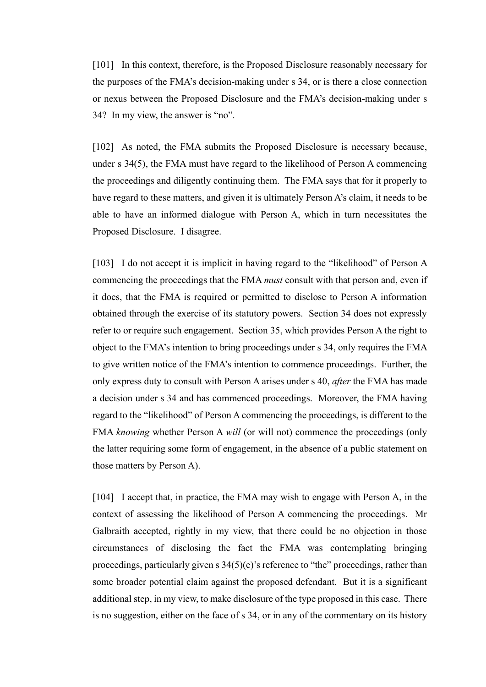[101] In this context, therefore, is the Proposed Disclosure reasonably necessary for the purposes of the FMA's decision-making under s 34, or is there a close connection or nexus between the Proposed Disclosure and the FMA's decision-making under s 34? In my view, the answer is "no".

[102] As noted, the FMA submits the Proposed Disclosure is necessary because, under s 34(5), the FMA must have regard to the likelihood of Person A commencing the proceedings and diligently continuing them. The FMA says that for it properly to have regard to these matters, and given it is ultimately Person A's claim, it needs to be able to have an informed dialogue with Person A, which in turn necessitates the Proposed Disclosure. I disagree.

[103] I do not accept it is implicit in having regard to the "likelihood" of Person A commencing the proceedings that the FMA *must* consult with that person and, even if it does, that the FMA is required or permitted to disclose to Person A information obtained through the exercise of its statutory powers. Section 34 does not expressly refer to or require such engagement. Section 35, which provides Person A the right to object to the FMA's intention to bring proceedings under s 34, only requires the FMA to give written notice of the FMA's intention to commence proceedings. Further, the only express duty to consult with Person A arises under s 40, *after* the FMA has made a decision under s 34 and has commenced proceedings. Moreover, the FMA having regard to the "likelihood" of Person A commencing the proceedings, is different to the FMA *knowing* whether Person A *will* (or will not) commence the proceedings (only the latter requiring some form of engagement, in the absence of a public statement on those matters by Person A).

[104] I accept that, in practice, the FMA may wish to engage with Person A, in the context of assessing the likelihood of Person A commencing the proceedings. Mr Galbraith accepted, rightly in my view, that there could be no objection in those circumstances of disclosing the fact the FMA was contemplating bringing proceedings, particularly given s 34(5)(e)'s reference to "the" proceedings, rather than some broader potential claim against the proposed defendant. But it is a significant additional step, in my view, to make disclosure of the type proposed in this case. There is no suggestion, either on the face of s 34, or in any of the commentary on its history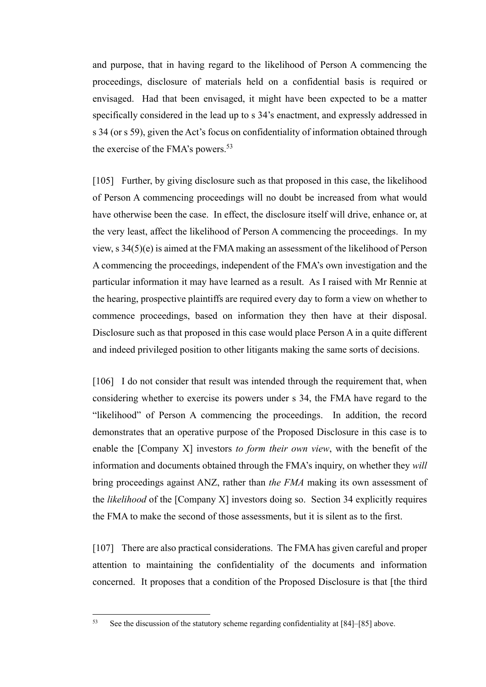and purpose, that in having regard to the likelihood of Person A commencing the proceedings, disclosure of materials held on a confidential basis is required or envisaged. Had that been envisaged, it might have been expected to be a matter specifically considered in the lead up to s 34's enactment, and expressly addressed in s 34 (or s 59), given the Act's focus on confidentiality of information obtained through the exercise of the FMA's powers.<sup>53</sup>

[105] Further, by giving disclosure such as that proposed in this case, the likelihood of Person A commencing proceedings will no doubt be increased from what would have otherwise been the case. In effect, the disclosure itself will drive, enhance or, at the very least, affect the likelihood of Person A commencing the proceedings. In my view, s 34(5)(e) is aimed at the FMA making an assessment of the likelihood of Person A commencing the proceedings, independent of the FMA's own investigation and the particular information it may have learned as a result. As I raised with Mr Rennie at the hearing, prospective plaintiffs are required every day to form a view on whether to commence proceedings, based on information they then have at their disposal. Disclosure such as that proposed in this case would place Person A in a quite different and indeed privileged position to other litigants making the same sorts of decisions.

[106] I do not consider that result was intended through the requirement that, when considering whether to exercise its powers under s 34, the FMA have regard to the "likelihood" of Person A commencing the proceedings. In addition, the record demonstrates that an operative purpose of the Proposed Disclosure in this case is to enable the [Company X] investors *to form their own view*, with the benefit of the information and documents obtained through the FMA's inquiry, on whether they *will* bring proceedings against ANZ, rather than *the FMA* making its own assessment of the *likelihood* of the [Company X] investors doing so. Section 34 explicitly requires the FMA to make the second of those assessments, but it is silent as to the first.

<span id="page-34-0"></span>[107] There are also practical considerations. The FMA has given careful and proper attention to maintaining the confidentiality of the documents and information concerned. It proposes that a condition of the Proposed Disclosure is that [the third

<sup>53</sup> See the discussion of the statutory scheme regarding confidentiality at [\[84\]–](#page-23-1)[85] above.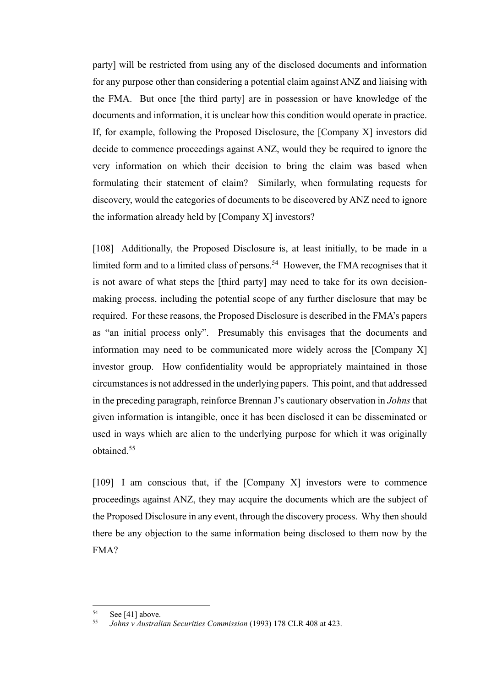party] will be restricted from using any of the disclosed documents and information for any purpose other than considering a potential claim against ANZ and liaising with the FMA. But once [the third party] are in possession or have knowledge of the documents and information, it is unclear how this condition would operate in practice. If, for example, following the Proposed Disclosure, the [Company X] investors did decide to commence proceedings against ANZ, would they be required to ignore the very information on which their decision to bring the claim was based when formulating their statement of claim? Similarly, when formulating requests for discovery, would the categories of documents to be discovered by ANZ need to ignore the information already held by [Company X] investors?

[108] Additionally, the Proposed Disclosure is, at least initially, to be made in a limited form and to a limited class of persons.<sup>54</sup> However, the FMA recognises that it is not aware of what steps the [third party] may need to take for its own decisionmaking process, including the potential scope of any further disclosure that may be required. For these reasons, the Proposed Disclosure is described in the FMA's papers as "an initial process only". Presumably this envisages that the documents and information may need to be communicated more widely across the [Company X] investor group. How confidentiality would be appropriately maintained in those circumstances is not addressed in the underlying papers. This point, and that addressed in the preceding paragraph, reinforce Brennan J's cautionary observation in *Johns* that given information is intangible, once it has been disclosed it can be disseminated or used in ways which are alien to the underlying purpose for which it was originally obtained.<sup>55</sup>

[109] I am conscious that, if the [Company X] investors were to commence proceedings against ANZ, they may acquire the documents which are the subject of the Proposed Disclosure in any event, through the discovery process. Why then should there be any objection to the same information being disclosed to them now by the FMA?

<sup>54</sup>  $55$  See [41] above.

<sup>55</sup> *Johns v Australian Securities Commission* (1993) 178 CLR 408 at 423.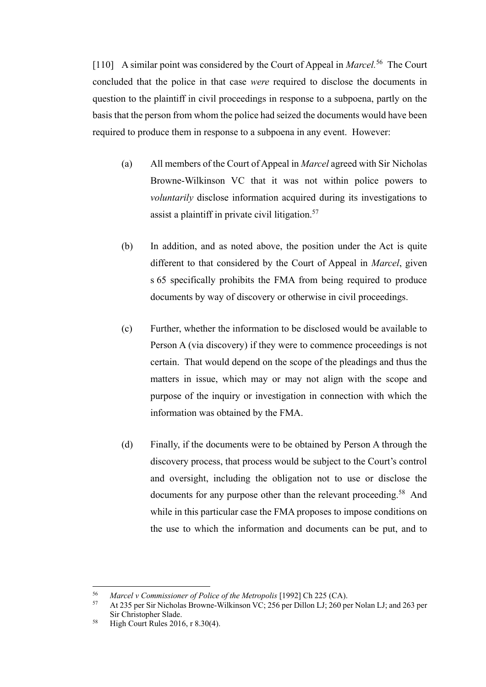<span id="page-36-0"></span>[110] A similar point was considered by the Court of Appeal in *Marcel*.<sup>56</sup> The Court concluded that the police in that case *were* required to disclose the documents in question to the plaintiff in civil proceedings in response to a subpoena, partly on the basis that the person from whom the police had seized the documents would have been required to produce them in response to a subpoena in any event. However:

- (a) All members of the Court of Appeal in *Marcel* agreed with Sir Nicholas Browne-Wilkinson VC that it was not within police powers to *voluntarily* disclose information acquired during its investigations to assist a plaintiff in private civil litigation.<sup>57</sup>
- (b) In addition, and as noted above, the position under the Act is quite different to that considered by the Court of Appeal in *Marcel*, given s 65 specifically prohibits the FMA from being required to produce documents by way of discovery or otherwise in civil proceedings.
- (c) Further, whether the information to be disclosed would be available to Person A (via discovery) if they were to commence proceedings is not certain. That would depend on the scope of the pleadings and thus the matters in issue, which may or may not align with the scope and purpose of the inquiry or investigation in connection with which the information was obtained by the FMA.
- (d) Finally, if the documents were to be obtained by Person A through the discovery process, that process would be subject to the Court's control and oversight, including the obligation not to use or disclose the documents for any purpose other than the relevant proceeding.<sup>58</sup> And while in this particular case the FMA proposes to impose conditions on the use to which the information and documents can be put, and to

<sup>56</sup> <sup>56</sup> *Marcel v Commissioner of Police of the Metropolis* [1992] Ch 225 (CA).

<sup>57</sup> At 235 per Sir Nicholas Browne-Wilkinson VC; 256 per Dillon LJ; 260 per Nolan LJ; and 263 per Sir Christopher Slade.

<sup>58</sup> High Court Rules 2016, r 8.30(4).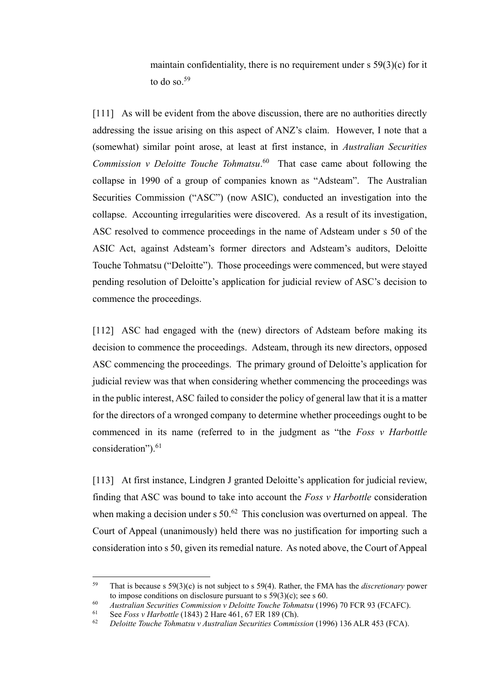maintain confidentiality, there is no requirement under  $s$  59(3)(c) for it to do so. $59$ 

[111] As will be evident from the above discussion, there are no authorities directly addressing the issue arising on this aspect of ANZ's claim. However, I note that a (somewhat) similar point arose, at least at first instance, in *Australian Securities Commission v Deloitte Touche Tohmatsu*. 60 That case came about following the collapse in 1990 of a group of companies known as "Adsteam". The Australian Securities Commission ("ASC") (now ASIC), conducted an investigation into the collapse. Accounting irregularities were discovered. As a result of its investigation, ASC resolved to commence proceedings in the name of Adsteam under s 50 of the ASIC Act, against Adsteam's former directors and Adsteam's auditors, Deloitte Touche Tohmatsu ("Deloitte"). Those proceedings were commenced, but were stayed pending resolution of Deloitte's application for judicial review of ASC's decision to commence the proceedings.

[112] ASC had engaged with the (new) directors of Adsteam before making its decision to commence the proceedings. Adsteam, through its new directors, opposed ASC commencing the proceedings. The primary ground of Deloitte's application for judicial review was that when considering whether commencing the proceedings was in the public interest, ASC failed to consider the policy of general law that it is a matter for the directors of a wronged company to determine whether proceedings ought to be commenced in its name (referred to in the judgment as "the *Foss v Harbottle* consideration").<sup>61</sup>

[113] At first instance, Lindgren J granted Deloitte's application for judicial review, finding that ASC was bound to take into account the *Foss v Harbottle* consideration when making a decision under  $s$  50.<sup>62</sup> This conclusion was overturned on appeal. The Court of Appeal (unanimously) held there was no justification for importing such a consideration into s 50, given its remedial nature. As noted above, the Court of Appeal

<sup>59</sup> <sup>59</sup> That is because s 59(3)(c) is not subject to s 59(4). Rather, the FMA has the *discretionary* power to impose conditions on disclosure pursuant to s 59(3)(c); see s 60.

<sup>60</sup> *Australian Securities Commission v Deloitte Touche Tohmatsu* (1996) 70 FCR 93 (FCAFC).

<sup>61</sup> See *Foss v Harbottle* (1843) 2 Hare 461, 67 ER 189 (Ch).

<sup>62</sup> *Deloitte Touche Tohmatsu v Australian Securities Commission* (1996) 136 ALR 453 (FCA).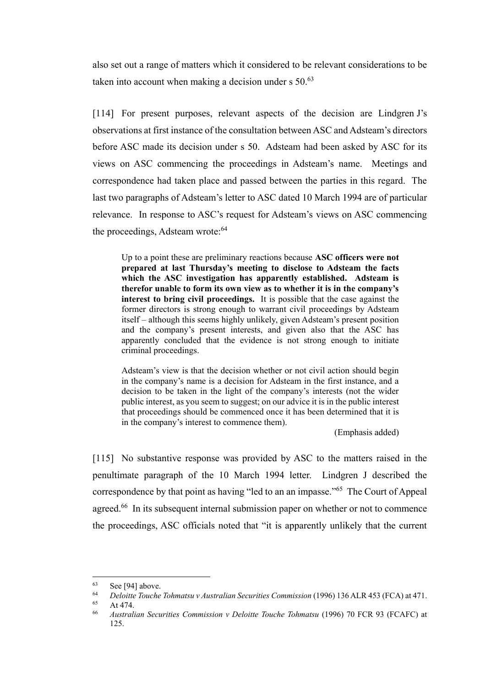also set out a range of matters which it considered to be relevant considerations to be taken into account when making a decision under  $s$  50.<sup>63</sup>

[114] For present purposes, relevant aspects of the decision are Lindgren J's observations at first instance of the consultation between ASC and Adsteam's directors before ASC made its decision under s 50. Adsteam had been asked by ASC for its views on ASC commencing the proceedings in Adsteam's name. Meetings and correspondence had taken place and passed between the parties in this regard. The last two paragraphs of Adsteam's letter to ASC dated 10 March 1994 are of particular relevance. In response to ASC's request for Adsteam's views on ASC commencing the proceedings, Adsteam wrote:<sup>64</sup>

Up to a point these are preliminary reactions because **ASC officers were not prepared at last Thursday's meeting to disclose to Adsteam the facts which the ASC investigation has apparently established. Adsteam is therefor unable to form its own view as to whether it is in the company's interest to bring civil proceedings.** It is possible that the case against the former directors is strong enough to warrant civil proceedings by Adsteam itself – although this seems highly unlikely, given Adsteam's present position and the company's present interests, and given also that the ASC has apparently concluded that the evidence is not strong enough to initiate criminal proceedings.

Adsteam's view is that the decision whether or not civil action should begin in the company's name is a decision for Adsteam in the first instance, and a decision to be taken in the light of the company's interests (not the wider public interest, as you seem to suggest; on our advice it is in the public interest that proceedings should be commenced once it has been determined that it is in the company's interest to commence them).

(Emphasis added)

[115] No substantive response was provided by ASC to the matters raised in the penultimate paragraph of the 10 March 1994 letter. Lindgren J described the correspondence by that point as having "led to an an impasse."<sup>65</sup> The Court of Appeal agreed.<sup>66</sup> In its subsequent internal submission paper on whether or not to commence the proceedings, ASC officials noted that "it is apparently unlikely that the current

<sup>63</sup>  $\begin{array}{c} 63 \ 64 \end{array}$  Se[e \[94\]](#page-30-0) above.

<sup>64</sup> *Deloitte Touche Tohmatsu v Australian Securities Commission* (1996) 136 ALR 453 (FCA) at 471.

 $65$  At 474.

<sup>66</sup> *Australian Securities Commission v Deloitte Touche Tohmatsu* (1996) 70 FCR 93 (FCAFC) at 125.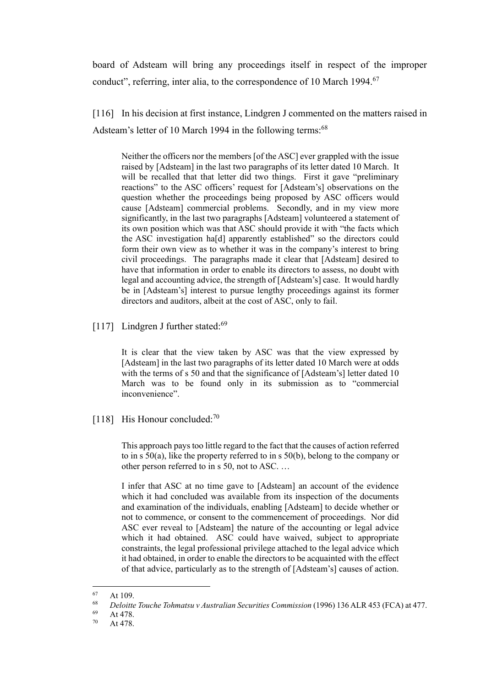board of Adsteam will bring any proceedings itself in respect of the improper conduct", referring, inter alia, to the correspondence of 10 March 1994.<sup>67</sup>

[116] In his decision at first instance, Lindgren J commented on the matters raised in Adsteam's letter of 10 March 1994 in the following terms:<sup>68</sup>

Neither the officers nor the members [of the ASC] ever grappled with the issue raised by [Adsteam] in the last two paragraphs of its letter dated 10 March. It will be recalled that that letter did two things. First it gave "preliminary" reactions" to the ASC officers' request for [Adsteam's] observations on the question whether the proceedings being proposed by ASC officers would cause [Adsteam] commercial problems. Secondly, and in my view more significantly, in the last two paragraphs [Adsteam] volunteered a statement of its own position which was that ASC should provide it with "the facts which the ASC investigation ha[d] apparently established" so the directors could form their own view as to whether it was in the company's interest to bring civil proceedings. The paragraphs made it clear that [Adsteam] desired to have that information in order to enable its directors to assess, no doubt with legal and accounting advice, the strength of [Adsteam's] case. It would hardly be in [Adsteam's] interest to pursue lengthy proceedings against its former directors and auditors, albeit at the cost of ASC, only to fail.

[117] Lindgren J further stated: $69$ 

It is clear that the view taken by ASC was that the view expressed by [Adsteam] in the last two paragraphs of its letter dated 10 March were at odds with the terms of s 50 and that the significance of [Adsteam's] letter dated 10 March was to be found only in its submission as to "commercial inconvenience".

[118] His Honour concluded:<sup>70</sup>

This approach pays too little regard to the fact that the causes of action referred to in s 50(a), like the property referred to in s 50(b), belong to the company or other person referred to in s 50, not to ASC. …

I infer that ASC at no time gave to [Adsteam] an account of the evidence which it had concluded was available from its inspection of the documents and examination of the individuals, enabling [Adsteam] to decide whether or not to commence, or consent to the commencement of proceedings. Nor did ASC ever reveal to [Adsteam] the nature of the accounting or legal advice which it had obtained. ASC could have waived, subject to appropriate constraints, the legal professional privilege attached to the legal advice which it had obtained, in order to enable the directors to be acquainted with the effect of that advice, particularly as to the strength of [Adsteam's] causes of action.

<sup>67</sup> At 109.

<sup>68</sup> *Deloitte Touche Tohmatsu v Australian Securities Commission* (1996) 136 ALR 453 (FCA) at 477.

At 478.

<sup>70</sup> At 478.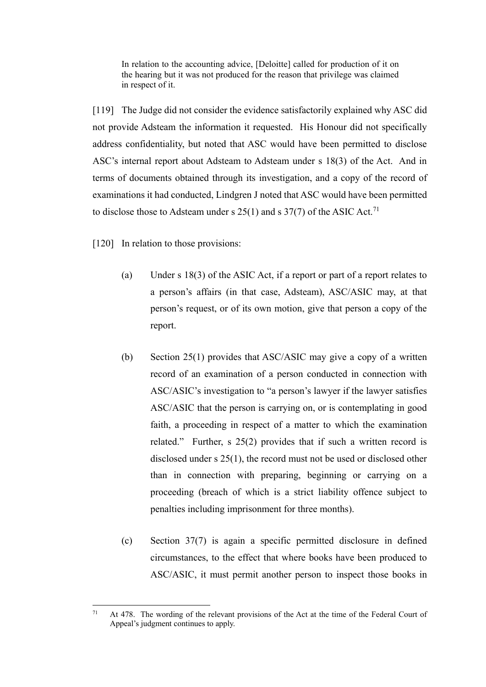In relation to the accounting advice, [Deloitte] called for production of it on the hearing but it was not produced for the reason that privilege was claimed in respect of it.

[119] The Judge did not consider the evidence satisfactorily explained why ASC did not provide Adsteam the information it requested. His Honour did not specifically address confidentiality, but noted that ASC would have been permitted to disclose ASC's internal report about Adsteam to Adsteam under s 18(3) of the Act. And in terms of documents obtained through its investigation, and a copy of the record of examinations it had conducted, Lindgren J noted that ASC would have been permitted to disclose those to Adsteam under s  $25(1)$  and s  $37(7)$  of the ASIC Act.<sup>71</sup>

[120] In relation to those provisions:

- (a) Under s 18(3) of the ASIC Act, if a report or part of a report relates to a person's affairs (in that case, Adsteam), ASC/ASIC may, at that person's request, or of its own motion, give that person a copy of the report.
- (b) Section 25(1) provides that ASC/ASIC may give a copy of a written record of an examination of a person conducted in connection with ASC/ASIC's investigation to "a person's lawyer if the lawyer satisfies ASC/ASIC that the person is carrying on, or is contemplating in good faith, a proceeding in respect of a matter to which the examination related." Further, s 25(2) provides that if such a written record is disclosed under s 25(1), the record must not be used or disclosed other than in connection with preparing, beginning or carrying on a proceeding (breach of which is a strict liability offence subject to penalties including imprisonment for three months).
- (c) Section 37(7) is again a specific permitted disclosure in defined circumstances, to the effect that where books have been produced to ASC/ASIC, it must permit another person to inspect those books in

 $71$ <sup>71</sup> At 478. The wording of the relevant provisions of the Act at the time of the Federal Court of Appeal's judgment continues to apply.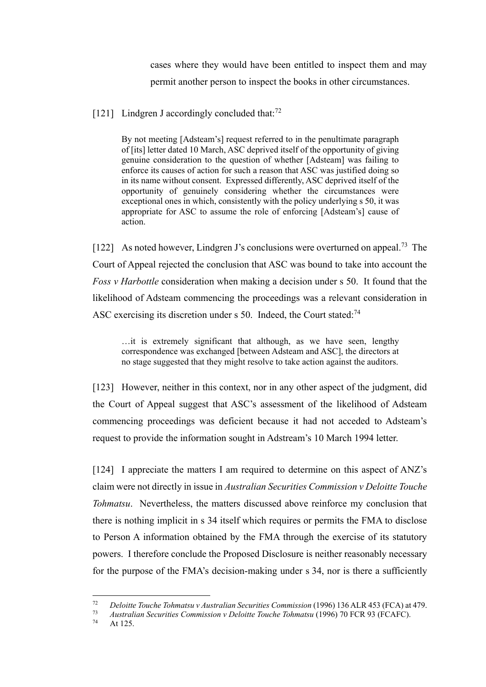cases where they would have been entitled to inspect them and may permit another person to inspect the books in other circumstances.

[121] Lindgren J accordingly concluded that: $^{72}$ 

By not meeting [Adsteam's] request referred to in the penultimate paragraph of [its] letter dated 10 March, ASC deprived itself of the opportunity of giving genuine consideration to the question of whether [Adsteam] was failing to enforce its causes of action for such a reason that ASC was justified doing so in its name without consent. Expressed differently, ASC deprived itself of the opportunity of genuinely considering whether the circumstances were exceptional ones in which, consistently with the policy underlying s 50, it was appropriate for ASC to assume the role of enforcing [Adsteam's] cause of action.

[122] As noted however, Lindgren J's conclusions were overturned on appeal.<sup>73</sup> The Court of Appeal rejected the conclusion that ASC was bound to take into account the *Foss v Harbottle* consideration when making a decision under s 50. It found that the likelihood of Adsteam commencing the proceedings was a relevant consideration in ASC exercising its discretion under s 50. Indeed, the Court stated:<sup>74</sup>

…it is extremely significant that although, as we have seen, lengthy correspondence was exchanged [between Adsteam and ASC], the directors at no stage suggested that they might resolve to take action against the auditors.

[123] However, neither in this context, nor in any other aspect of the judgment, did the Court of Appeal suggest that ASC's assessment of the likelihood of Adsteam commencing proceedings was deficient because it had not acceded to Adsteam's request to provide the information sought in Adstream's 10 March 1994 letter.

[124] I appreciate the matters I am required to determine on this aspect of ANZ's claim were not directly in issue in *Australian Securities Commission v Deloitte Touche Tohmatsu*. Nevertheless, the matters discussed above reinforce my conclusion that there is nothing implicit in s 34 itself which requires or permits the FMA to disclose to Person A information obtained by the FMA through the exercise of its statutory powers. I therefore conclude the Proposed Disclosure is neither reasonably necessary for the purpose of the FMA's decision-making under s 34, nor is there a sufficiently

<sup>72</sup> <sup>72</sup> *Deloitte Touche Tohmatsu v Australian Securities Commission* (1996) 136 ALR 453 (FCA) at 479.

<sup>73</sup> *Australian Securities Commission v Deloitte Touche Tohmatsu* (1996) 70 FCR 93 (FCAFC).

At 125.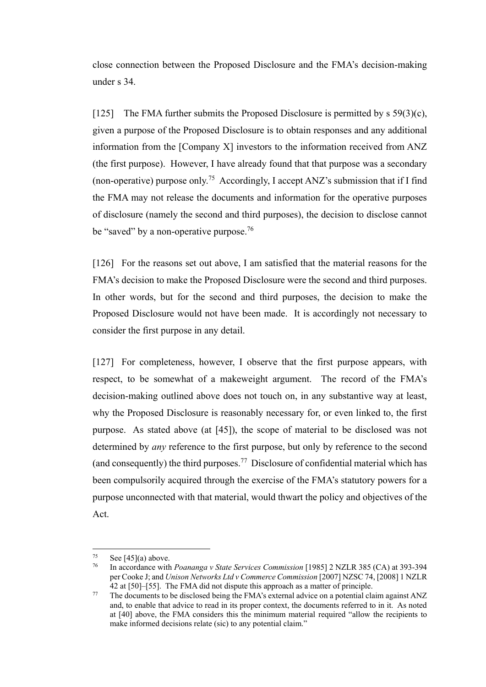close connection between the Proposed Disclosure and the FMA's decision-making under s 34.

[125] The FMA further submits the Proposed Disclosure is permitted by  $s$  59(3)(c), given a purpose of the Proposed Disclosure is to obtain responses and any additional information from the [Company X] investors to the information received from ANZ (the first purpose). However, I have already found that that purpose was a secondary (non-operative) purpose only.<sup>75</sup> Accordingly, I accept ANZ's submission that if I find the FMA may not release the documents and information for the operative purposes of disclosure (namely the second and third purposes), the decision to disclose cannot be "saved" by a non-operative purpose.<sup>76</sup>

[126] For the reasons set out above, I am satisfied that the material reasons for the FMA's decision to make the Proposed Disclosure were the second and third purposes. In other words, but for the second and third purposes, the decision to make the Proposed Disclosure would not have been made. It is accordingly not necessary to consider the first purpose in any detail.

[127] For completeness, however, I observe that the first purpose appears, with respect, to be somewhat of a makeweight argument. The record of the FMA's decision-making outlined above does not touch on, in any substantive way at least, why the Proposed Disclosure is reasonably necessary for, or even linked to, the first purpose. As stated above (at [\[45\]\)](#page-12-1), the scope of material to be disclosed was not determined by *any* reference to the first purpose, but only by reference to the second (and consequently) the third purposes.<sup>77</sup> Disclosure of confidential material which has been compulsorily acquired through the exercise of the FMA's statutory powers for a purpose unconnected with that material, would thwart the policy and objectives of the Act.

 $\overline{a}$ 

 $\frac{75}{76}$  Se[e \[45\]\(a\)](#page-12-2) above.

<sup>76</sup> In accordance with *Poananga v State Services Commission* [1985] 2 NZLR 385 (CA) at 393-394 per Cooke J; and *Unison Networks Ltd v Commerce Commission* [2007] NZSC 74, [2008] 1 NZLR 42 at [50]–[55]. The FMA did not dispute this approach as a matter of principle.

<sup>&</sup>lt;sup>77</sup> The documents to be disclosed being the FMA's external advice on a potential claim against ANZ and, to enable that advice to read in its proper context, the documents referred to in it. As noted at [40] above, the FMA considers this the minimum material required "allow the recipients to make informed decisions relate (sic) to any potential claim."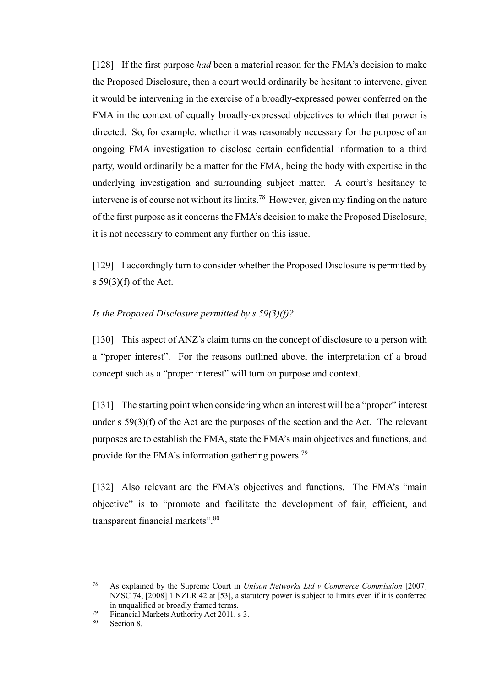[128] If the first purpose *had* been a material reason for the FMA's decision to make the Proposed Disclosure, then a court would ordinarily be hesitant to intervene, given it would be intervening in the exercise of a broadly-expressed power conferred on the FMA in the context of equally broadly-expressed objectives to which that power is directed. So, for example, whether it was reasonably necessary for the purpose of an ongoing FMA investigation to disclose certain confidential information to a third party, would ordinarily be a matter for the FMA, being the body with expertise in the underlying investigation and surrounding subject matter. A court's hesitancy to intervene is of course not without its limits.<sup>78</sup> However, given my finding on the nature of the first purpose as it concerns the FMA's decision to make the Proposed Disclosure, it is not necessary to comment any further on this issue.

[129] I accordingly turn to consider whether the Proposed Disclosure is permitted by s 59(3)(f) of the Act.

### <span id="page-43-0"></span>*Is the Proposed Disclosure permitted by s 59(3)(f)?*

[130] This aspect of ANZ's claim turns on the concept of disclosure to a person with a "proper interest". For the reasons outlined above, the interpretation of a broad concept such as a "proper interest" will turn on purpose and context.

[131] The starting point when considering when an interest will be a "proper" interest under s 59(3)(f) of the Act are the purposes of the section and the Act. The relevant purposes are to establish the FMA, state the FMA's main objectives and functions, and provide for the FMA's information gathering powers.<sup>79</sup>

[132] Also relevant are the FMA's objectives and functions. The FMA's "main" objective" is to "promote and facilitate the development of fair, efficient, and transparent financial markets".<sup>80</sup>

 $\overline{a}$ 

<sup>78</sup> As explained by the Supreme Court in *Unison Networks Ltd v Commerce Commission* [2007] NZSC 74, [2008] 1 NZLR 42 at [53], a statutory power is subject to limits even if it is conferred in unqualified or broadly framed terms.

<sup>79</sup> Financial Markets Authority Act 2011, s 3.

<sup>80</sup> Section 8.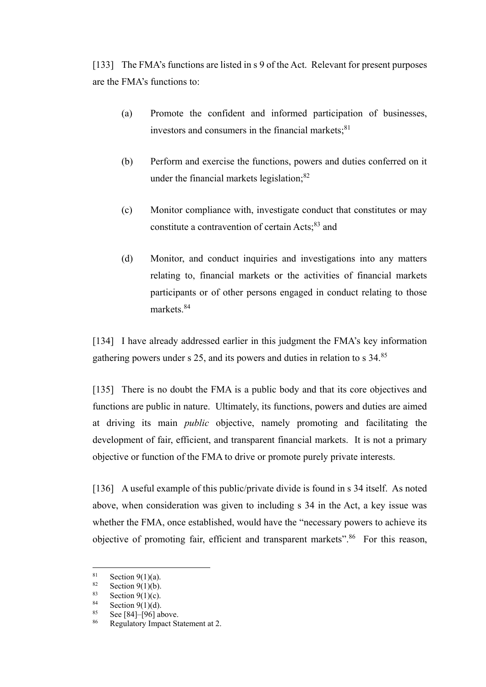[133] The FMA's functions are listed in s 9 of the Act. Relevant for present purposes are the FMA's functions to:

- (a) Promote the confident and informed participation of businesses, investors and consumers in the financial markets; $81$
- (b) Perform and exercise the functions, powers and duties conferred on it under the financial markets legislation; $82$
- (c) Monitor compliance with, investigate conduct that constitutes or may constitute a contravention of certain Acts;<sup>83</sup> and
- (d) Monitor, and conduct inquiries and investigations into any matters relating to, financial markets or the activities of financial markets participants or of other persons engaged in conduct relating to those markets<sup>84</sup>

[134] I have already addressed earlier in this judgment the FMA's key information gathering powers under s 25, and its powers and duties in relation to s 34.<sup>85</sup>

[135] There is no doubt the FMA is a public body and that its core objectives and functions are public in nature. Ultimately, its functions, powers and duties are aimed at driving its main *public* objective, namely promoting and facilitating the development of fair, efficient, and transparent financial markets. It is not a primary objective or function of the FMA to drive or promote purely private interests.

[136] A useful example of this public/private divide is found in s 34 itself. As noted above, when consideration was given to including s 34 in the Act, a key issue was whether the FMA, once established, would have the "necessary powers to achieve its objective of promoting fair, efficient and transparent markets".<sup>86</sup> For this reason,

<sup>81</sup> <sup>81</sup> Section 9(1)(a).<br><sup>82</sup> Section 9(1)(b)

<sup>&</sup>lt;sup>82</sup> Section 9(1)(b).<br><sup>83</sup> Section 9(1)(c).

Section  $9(1)(c)$ .

 $\frac{84}{85}$  Section 9(1)(d).

Se[e \[84\]](#page-23-1)[–\[96\]](#page-31-2) above.

<sup>86</sup> Regulatory Impact Statement at 2.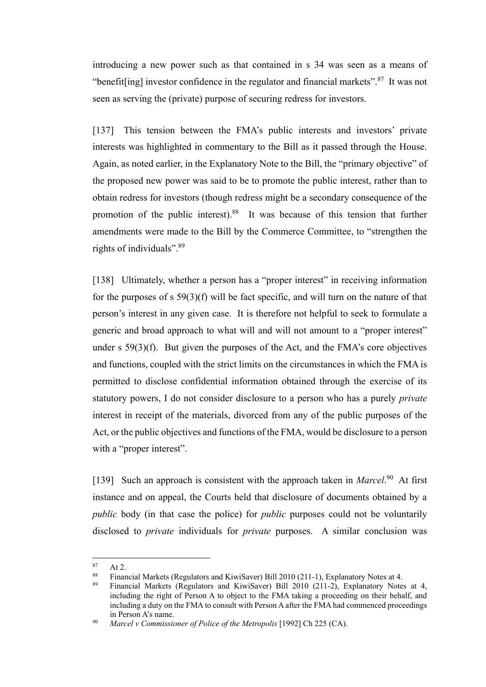introducing a new power such as that contained in s 34 was seen as a means of "benefit[ing] investor confidence in the regulator and financial markets".<sup>87</sup> It was not seen as serving the (private) purpose of securing redress for investors.

[137] This tension between the FMA's public interests and investors' private interests was highlighted in commentary to the Bill as it passed through the House. Again, as noted earlier, in the Explanatory Note to the Bill, the "primary objective" of the proposed new power was said to be to promote the public interest, rather than to obtain redress for investors (though redress might be a secondary consequence of the promotion of the public interest).<sup>88</sup> It was because of this tension that further amendments were made to the Bill by the Commerce Committee, to "strengthen the rights of individuals".<sup>89</sup>

[138] Ultimately, whether a person has a "proper interest" in receiving information for the purposes of s 59(3)(f) will be fact specific, and will turn on the nature of that person's interest in any given case. It is therefore not helpful to seek to formulate a generic and broad approach to what will and will not amount to a "proper interest" under s 59(3)(f). But given the purposes of the Act, and the FMA's core objectives and functions, coupled with the strict limits on the circumstances in which the FMA is permitted to disclose confidential information obtained through the exercise of its statutory powers, I do not consider disclosure to a person who has a purely *private* interest in receipt of the materials, divorced from any of the public purposes of the Act, or the public objectives and functions of the FMA, would be disclosure to a person with a "proper interest".

[139] Such an approach is consistent with the approach taken in *Marcel*.<sup>90</sup> At first instance and on appeal, the Courts held that disclosure of documents obtained by a *public* body (in that case the police) for *public* purposes could not be voluntarily disclosed to *private* individuals for *private* purposes. A similar conclusion was

<sup>87</sup>  $\begin{array}{c} 87 \\ 88 \\ \hline \end{array}$  At 2.

<sup>&</sup>lt;sup>88</sup> Financial Markets (Regulators and KiwiSaver) Bill 2010 (211-1), Explanatory Notes at 4.<br><sup>89</sup> Financial Markets (Regulators, and *ViviSaver*), Bill 2010 (211.2), Evropetary Notes

<sup>89</sup> Financial Markets (Regulators and KiwiSaver) Bill 2010 (211-2), Explanatory Notes at 4, including the right of Person A to object to the FMA taking a proceeding on their behalf, and including a duty on the FMA to consult with Person A after the FMA had commenced proceedings in Person A's name.

<sup>90</sup> *Marcel v Commissioner of Police of the Metropolis* [1992] Ch 225 (CA).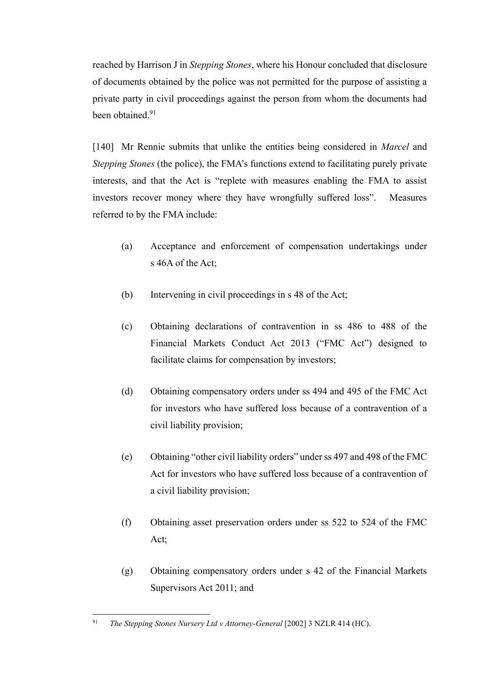reached by Harrison J in *Stepping Stones*, where his Honour concluded that disclosure of documents obtained by the police was not permitted for the purpose of assisting a private party in civil proceedings against the person from whom the documents had been obtained<sup>91</sup>

[140] Mr Rennie submits that unlike the entities being considered in *Marcel* and *Stepping Stones* (the police), the FMA's functions extend to facilitating purely private interests, and that the Act is "replete with measures enabling the FMA to assist investors recover money where they have wrongfully suffered loss". Measures referred to by the FMA include:

- (a) Acceptance and enforcement of compensation undertakings under s 46A of the Act;
- (b) Intervening in civil proceedings in s 48 of the Act;
- (c) Obtaining declarations of contravention in ss 486 to 488 of the Financial Markets Conduct Act 2013 ("FMC Act") designed to facilitate claims for compensation by investors;
- (d) Obtaining compensatory orders under ss 494 and 495 of the FMC Act for investors who have suffered loss because of a contravention of a civil liability provision;
- (e) Obtaining "other civil liability orders" under ss 497 and 498 of the FMC Act for investors who have suffered loss because of a contravention of a civil liability provision;
- (f) Obtaining asset preservation orders under ss 522 to 524 of the FMC Act;
- (g) Obtaining compensatory orders under s 42 of the Financial Markets Supervisors Act 2011; and

 $\overline{a}$ <sup>91</sup> *The Stepping Stones Nursery Ltd v Attorney-General* [2002] 3 NZLR 414 (HC).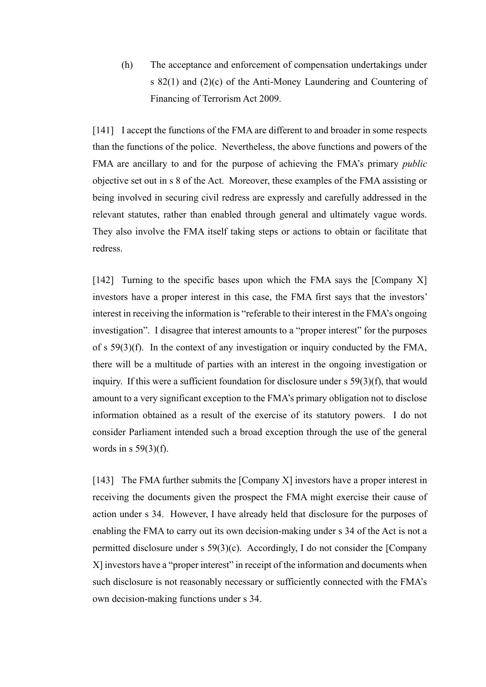(h) The acceptance and enforcement of compensation undertakings under s 82(1) and (2)(c) of the Anti-Money Laundering and Countering of Financing of Terrorism Act 2009.

[141] I accept the functions of the FMA are different to and broader in some respects than the functions of the police. Nevertheless, the above functions and powers of the FMA are ancillary to and for the purpose of achieving the FMA's primary *public* objective set out in s 8 of the Act. Moreover, these examples of the FMA assisting or being involved in securing civil redress are expressly and carefully addressed in the relevant statutes, rather than enabled through general and ultimately vague words. They also involve the FMA itself taking steps or actions to obtain or facilitate that redress.

[142] Turning to the specific bases upon which the FMA says the [Company X] investors have a proper interest in this case, the FMA first says that the investors' interest in receiving the information is "referable to their interest in the FMA's ongoing investigation". I disagree that interest amounts to a "proper interest" for the purposes of s 59(3)(f). In the context of any investigation or inquiry conducted by the FMA, there will be a multitude of parties with an interest in the ongoing investigation or inquiry. If this were a sufficient foundation for disclosure under s 59(3)(f), that would amount to a very significant exception to the FMA's primary obligation not to disclose information obtained as a result of the exercise of its statutory powers. I do not consider Parliament intended such a broad exception through the use of the general words in  $s$  59(3)(f).

[143] The FMA further submits the [Company X] investors have a proper interest in receiving the documents given the prospect the FMA might exercise their cause of action under s 34. However, I have already held that disclosure for the purposes of enabling the FMA to carry out its own decision-making under s 34 of the Act is not a permitted disclosure under s 59(3)(c). Accordingly, I do not consider the [Company X] investors have a "proper interest" in receipt of the information and documents when such disclosure is not reasonably necessary or sufficiently connected with the FMA's own decision-making functions under s 34.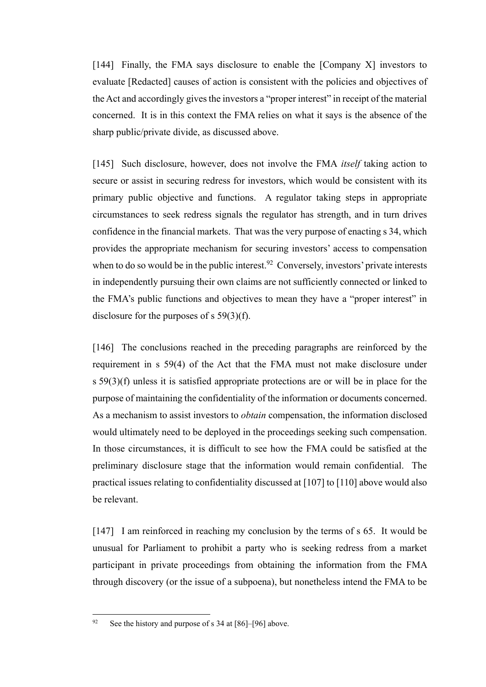[144] Finally, the FMA says disclosure to enable the [Company X] investors to evaluate [Redacted] causes of action is consistent with the policies and objectives of the Act and accordingly gives the investors a "proper interest" in receipt of the material concerned. It is in this context the FMA relies on what it says is the absence of the sharp public/private divide, as discussed above.

[145] Such disclosure, however, does not involve the FMA *itself* taking action to secure or assist in securing redress for investors, which would be consistent with its primary public objective and functions. A regulator taking steps in appropriate circumstances to seek redress signals the regulator has strength, and in turn drives confidence in the financial markets. That was the very purpose of enacting s 34, which provides the appropriate mechanism for securing investors' access to compensation when to do so would be in the public interest.<sup>92</sup> Conversely, investors' private interests in independently pursuing their own claims are not sufficiently connected or linked to the FMA's public functions and objectives to mean they have a "proper interest" in disclosure for the purposes of s 59(3)(f).

[146] The conclusions reached in the preceding paragraphs are reinforced by the requirement in s 59(4) of the Act that the FMA must not make disclosure under s 59(3)(f) unless it is satisfied appropriate protections are or will be in place for the purpose of maintaining the confidentiality of the information or documents concerned. As a mechanism to assist investors to *obtain* compensation, the information disclosed would ultimately need to be deployed in the proceedings seeking such compensation. In those circumstances, it is difficult to see how the FMA could be satisfied at the preliminary disclosure stage that the information would remain confidential. The practical issues relating to confidentiality discussed a[t \[107\]](#page-34-0) to [\[110\]](#page-36-0) above would also be relevant.

[147] I am reinforced in reaching my conclusion by the terms of s 65. It would be unusual for Parliament to prohibit a party who is seeking redress from a market participant in private proceedings from obtaining the information from the FMA through discovery (or the issue of a subpoena), but nonetheless intend the FMA to be

<sup>92</sup> See the history and purpose of s 34 at [\[86\]–](#page-28-1)[\[96\]](#page-31-2) above.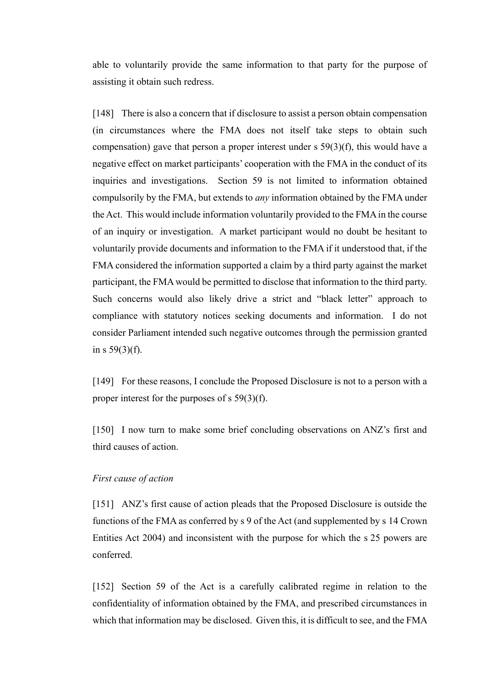able to voluntarily provide the same information to that party for the purpose of assisting it obtain such redress.

[148] There is also a concern that if disclosure to assist a person obtain compensation (in circumstances where the FMA does not itself take steps to obtain such compensation) gave that person a proper interest under s 59(3)(f), this would have a negative effect on market participants' cooperation with the FMA in the conduct of its inquiries and investigations. Section 59 is not limited to information obtained compulsorily by the FMA, but extends to *any* information obtained by the FMA under the Act. This would include information voluntarily provided to the FMA in the course of an inquiry or investigation. A market participant would no doubt be hesitant to voluntarily provide documents and information to the FMA if it understood that, if the FMA considered the information supported a claim by a third party against the market participant, the FMA would be permitted to disclose that information to the third party. Such concerns would also likely drive a strict and "black letter" approach to compliance with statutory notices seeking documents and information. I do not consider Parliament intended such negative outcomes through the permission granted in s  $59(3)(f)$ .

[149] For these reasons, I conclude the Proposed Disclosure is not to a person with a proper interest for the purposes of s 59(3)(f).

[150] I now turn to make some brief concluding observations on ANZ's first and third causes of action.

#### <span id="page-49-0"></span>*First cause of action*

[151] ANZ's first cause of action pleads that the Proposed Disclosure is outside the functions of the FMA as conferred by s 9 of the Act (and supplemented by s 14 Crown Entities Act 2004) and inconsistent with the purpose for which the s 25 powers are conferred.

[152] Section 59 of the Act is a carefully calibrated regime in relation to the confidentiality of information obtained by the FMA, and prescribed circumstances in which that information may be disclosed. Given this, it is difficult to see, and the FMA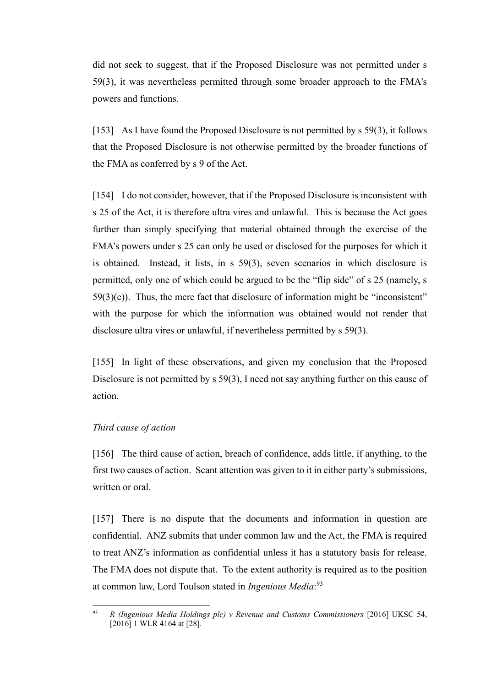did not seek to suggest, that if the Proposed Disclosure was not permitted under s 59(3), it was nevertheless permitted through some broader approach to the FMA's powers and functions.

[153] As I have found the Proposed Disclosure is not permitted by s 59(3), it follows that the Proposed Disclosure is not otherwise permitted by the broader functions of the FMA as conferred by s 9 of the Act.

[154] I do not consider, however, that if the Proposed Disclosure is inconsistent with s 25 of the Act, it is therefore ultra vires and unlawful. This is because the Act goes further than simply specifying that material obtained through the exercise of the FMA's powers under s 25 can only be used or disclosed for the purposes for which it is obtained. Instead, it lists, in s 59(3), seven scenarios in which disclosure is permitted, only one of which could be argued to be the "flip side" of s 25 (namely, s  $59(3)(c)$ ). Thus, the mere fact that disclosure of information might be "inconsistent" with the purpose for which the information was obtained would not render that disclosure ultra vires or unlawful, if nevertheless permitted by s 59(3).

[155] In light of these observations, and given my conclusion that the Proposed Disclosure is not permitted by s 59(3), I need not say anything further on this cause of action.

#### <span id="page-50-0"></span>*Third cause of action*

[156] The third cause of action, breach of confidence, adds little, if anything, to the first two causes of action. Scant attention was given to it in either party's submissions, written or oral.

[157] There is no dispute that the documents and information in question are confidential. ANZ submits that under common law and the Act, the FMA is required to treat ANZ's information as confidential unless it has a statutory basis for release. The FMA does not dispute that. To the extent authority is required as to the position at common law, Lord Toulson stated in *Ingenious Media*: 93

<sup>93</sup> <sup>93</sup> *R (Ingenious Media Holdings plc) v Revenue and Customs Commissioners* [2016] UKSC 54, [2016] 1 WLR 4164 at [28].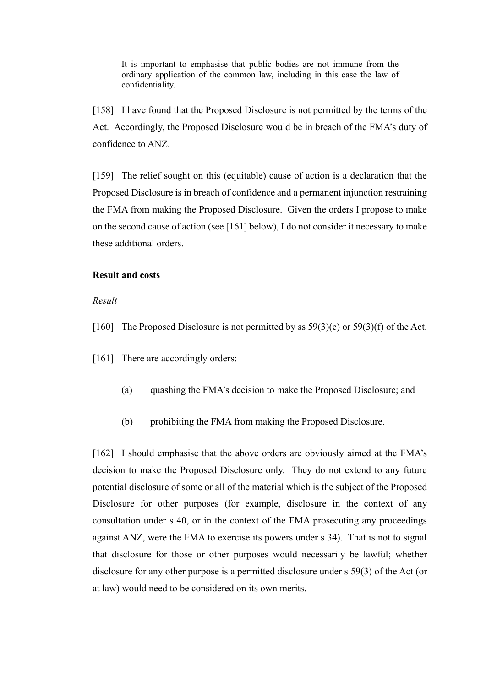It is important to emphasise that public bodies are not immune from the ordinary application of the common law, including in this case the law of confidentiality.

[158] I have found that the Proposed Disclosure is not permitted by the terms of the Act. Accordingly, the Proposed Disclosure would be in breach of the FMA's duty of confidence to ANZ.

[159] The relief sought on this (equitable) cause of action is a declaration that the Proposed Disclosure is in breach of confidence and a permanent injunction restraining the FMA from making the Proposed Disclosure. Given the orders I propose to make on the second cause of action (see [\[161\]](#page-51-2) below), I do not consider it necessary to make these additional orders.

#### <span id="page-51-0"></span>**Result and costs**

<span id="page-51-1"></span>*Result*

- <span id="page-51-2"></span>[160] The Proposed Disclosure is not permitted by ss  $59(3)(c)$  or  $59(3)(f)$  of the Act.
- [161] There are accordingly orders:
	- (a) quashing the FMA's decision to make the Proposed Disclosure; and
	- (b) prohibiting the FMA from making the Proposed Disclosure.

[162] I should emphasise that the above orders are obviously aimed at the FMA's decision to make the Proposed Disclosure only. They do not extend to any future potential disclosure of some or all of the material which is the subject of the Proposed Disclosure for other purposes (for example, disclosure in the context of any consultation under s 40, or in the context of the FMA prosecuting any proceedings against ANZ, were the FMA to exercise its powers under s 34). That is not to signal that disclosure for those or other purposes would necessarily be lawful; whether disclosure for any other purpose is a permitted disclosure under s 59(3) of the Act (or at law) would need to be considered on its own merits.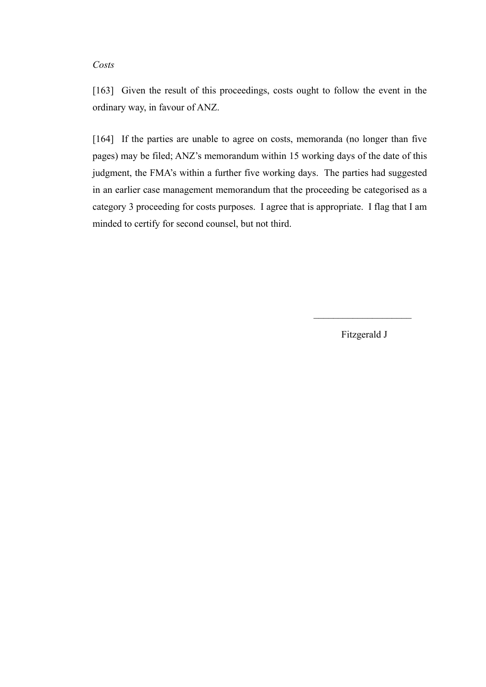#### <span id="page-52-0"></span>*Costs*

[163] Given the result of this proceedings, costs ought to follow the event in the ordinary way, in favour of ANZ.

[164] If the parties are unable to agree on costs, memoranda (no longer than five pages) may be filed; ANZ's memorandum within 15 working days of the date of this judgment, the FMA's within a further five working days. The parties had suggested in an earlier case management memorandum that the proceeding be categorised as a category 3 proceeding for costs purposes. I agree that is appropriate. I flag that I am minded to certify for second counsel, but not third.

Fitzgerald J

 $\overline{\phantom{a}}$  , where  $\overline{\phantom{a}}$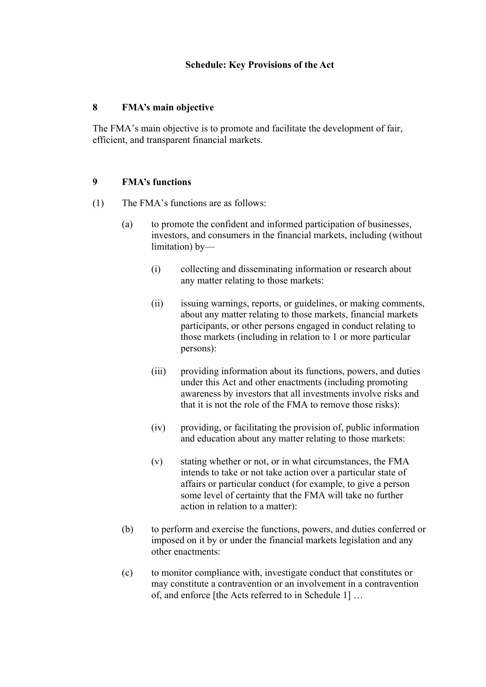## <span id="page-53-0"></span>**8 FMA's main objective**

The FMA's main objective is to promote and facilitate the development of fair, efficient, and transparent financial markets.

## **9 FMA's functions**

- (1) The FMA's functions are as follows:
	- (a) to promote the confident and informed participation of businesses, investors, and consumers in the financial markets, including (without limitation) by—
		- (i) collecting and disseminating information or research about any matter relating to those markets:
		- (ii) issuing warnings, reports, or guidelines, or making comments, about any matter relating to those markets, financial markets participants, or other persons engaged in conduct relating to those markets (including in relation to 1 or more particular persons):
		- (iii) providing information about its functions, powers, and duties under this Act and other enactments (including promoting awareness by investors that all investments involve risks and that it is not the role of the FMA to remove those risks):
		- (iv) providing, or facilitating the provision of, public information and education about any matter relating to those markets:
		- (v) stating whether or not, or in what circumstances, the FMA intends to take or not take action over a particular state of affairs or particular conduct (for example, to give a person some level of certainty that the FMA will take no further action in relation to a matter):
	- (b) to perform and exercise the functions, powers, and duties conferred or imposed on it by or under the financial markets legislation and any other enactments:
	- (c) to monitor compliance with, investigate conduct that constitutes or may constitute a contravention or an involvement in a contravention of, and enforce [the Acts referred to in Schedule 1] …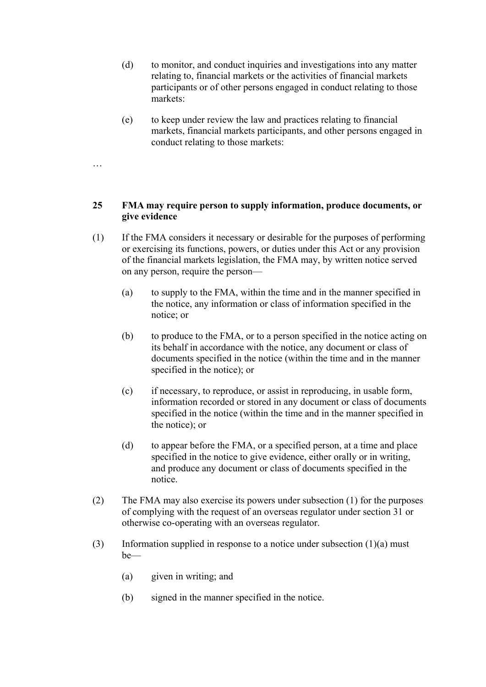- (d) to monitor, and conduct inquiries and investigations into any matter relating to, financial markets or the activities of financial markets participants or of other persons engaged in conduct relating to those markets:
- (e) to keep under review the law and practices relating to financial markets, financial markets participants, and other persons engaged in conduct relating to those markets:

## **25 FMA may require person to supply information, produce documents, or give evidence**

- (1) If the FMA considers it necessary or desirable for the purposes of performing or exercising its functions, powers, or duties under this Act or any provision of the financial markets legislation, the FMA may, by written notice served on any person, require the person—
	- (a) to supply to the FMA, within the time and in the manner specified in the notice, any information or class of information specified in the notice; or
	- (b) to produce to the FMA, or to a person specified in the notice acting on its behalf in accordance with the notice, any document or class of documents specified in the notice (within the time and in the manner specified in the notice); or
	- (c) if necessary, to reproduce, or assist in reproducing, in usable form, information recorded or stored in any document or class of documents specified in the notice (within the time and in the manner specified in the notice); or
	- (d) to appear before the FMA, or a specified person, at a time and place specified in the notice to give evidence, either orally or in writing, and produce any document or class of documents specified in the notice.
- (2) The FMA may also exercise its powers under subsection (1) for the purposes of complying with the request of an overseas regulator under section 31 or otherwise co-operating with an overseas regulator.
- (3) Information supplied in response to a notice under subsection  $(1)(a)$  must be—
	- (a) given in writing; and

…

(b) signed in the manner specified in the notice.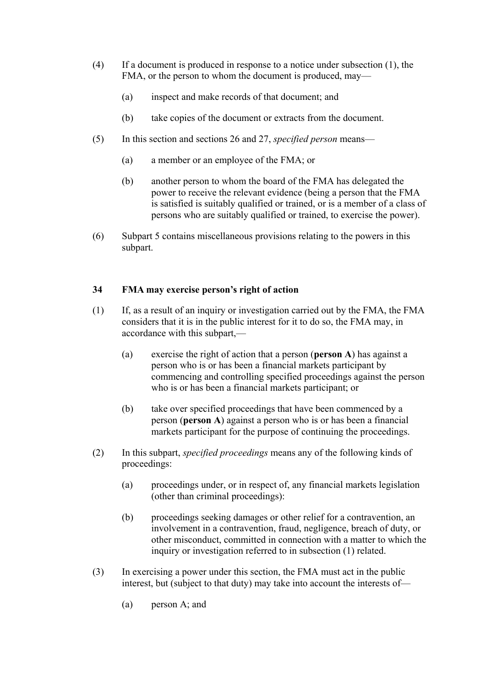- (4) If a document is produced in response to a notice under subsection (1), the FMA, or the person to whom the document is produced, may—
	- (a) inspect and make records of that document; and
	- (b) take copies of the document or extracts from the document.
- (5) In this section and sections 26 and 27, *specified person* means—
	- (a) a member or an employee of the FMA; or
	- (b) another person to whom the board of the FMA has delegated the power to receive the relevant evidence (being a person that the FMA is satisfied is suitably qualified or trained, or is a member of a class of persons who are suitably qualified or trained, to exercise the power).
- (6) Subpart 5 contains miscellaneous provisions relating to the powers in this subpart.

## **34 FMA may exercise person's right of action**

- (1) If, as a result of an inquiry or investigation carried out by the FMA, the FMA considers that it is in the public interest for it to do so, the FMA may, in accordance with this subpart,—
	- (a) exercise the right of action that a person (**person A**) has against a person who is or has been a financial markets participant by commencing and controlling specified proceedings against the person who is or has been a financial markets participant; or
	- (b) take over specified proceedings that have been commenced by a person (**person A**) against a person who is or has been a financial markets participant for the purpose of continuing the proceedings.
- (2) In this subpart, *specified proceedings* means any of the following kinds of proceedings:
	- (a) proceedings under, or in respect of, any financial markets legislation (other than criminal proceedings):
	- (b) proceedings seeking damages or other relief for a contravention, an involvement in a contravention, fraud, negligence, breach of duty, or other misconduct, committed in connection with a matter to which the inquiry or investigation referred to in subsection (1) related.
- (3) In exercising a power under this section, the FMA must act in the public interest, but (subject to that duty) may take into account the interests of—
	- (a) person A; and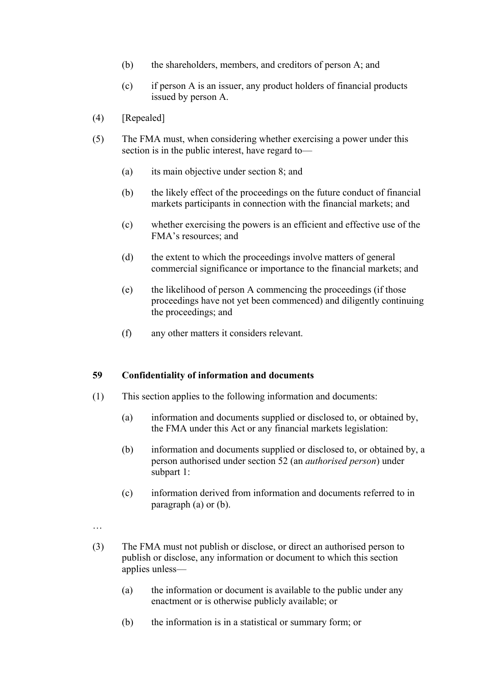- (b) the shareholders, members, and creditors of person A; and
- (c) if person A is an issuer, any product holders of financial products issued by person A.
- (4) [Repealed]
- (5) The FMA must, when considering whether exercising a power under this section is in the public interest, have regard to—
	- (a) its main objective under section 8; and
	- (b) the likely effect of the proceedings on the future conduct of financial markets participants in connection with the financial markets; and
	- (c) whether exercising the powers is an efficient and effective use of the FMA's resources; and
	- (d) the extent to which the proceedings involve matters of general commercial significance or importance to the financial markets; and
	- (e) the likelihood of person A commencing the proceedings (if those proceedings have not yet been commenced) and diligently continuing the proceedings; and
	- (f) any other matters it considers relevant.

## **59 Confidentiality of information and documents**

- (1) This section applies to the following information and documents:
	- (a) information and documents supplied or disclosed to, or obtained by, the FMA under this Act or any financial markets legislation:
	- (b) information and documents supplied or disclosed to, or obtained by, a person authorised under section 52 (an *authorised person*) under subpart 1:
	- (c) information derived from information and documents referred to in paragraph (a) or (b).

…

- (3) The FMA must not publish or disclose, or direct an authorised person to publish or disclose, any information or document to which this section applies unless—
	- (a) the information or document is available to the public under any enactment or is otherwise publicly available; or
	- (b) the information is in a statistical or summary form; or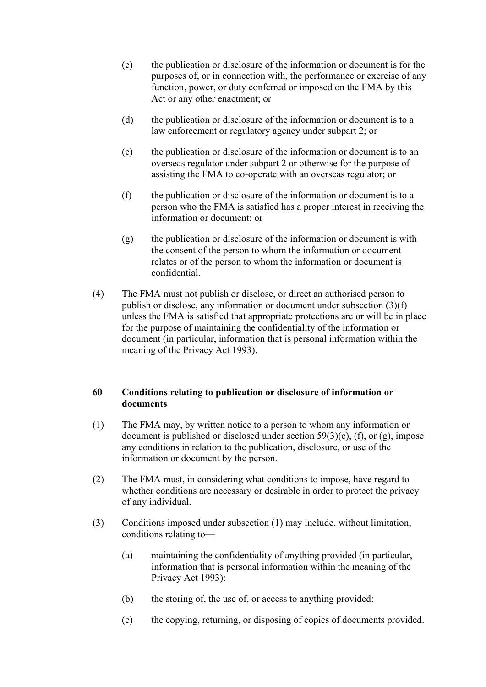- (c) the publication or disclosure of the information or document is for the purposes of, or in connection with, the performance or exercise of any function, power, or duty conferred or imposed on the FMA by this Act or any other enactment; or
- (d) the publication or disclosure of the information or document is to a law enforcement or regulatory agency under subpart 2; or
- (e) the publication or disclosure of the information or document is to an overseas regulator under subpart 2 or otherwise for the purpose of assisting the FMA to co-operate with an overseas regulator; or
- (f) the publication or disclosure of the information or document is to a person who the FMA is satisfied has a proper interest in receiving the information or document; or
- (g) the publication or disclosure of the information or document is with the consent of the person to whom the information or document relates or of the person to whom the information or document is confidential.
- (4) The FMA must not publish or disclose, or direct an authorised person to publish or disclose, any information or document under subsection (3)(f) unless the FMA is satisfied that appropriate protections are or will be in place for the purpose of maintaining the confidentiality of the information or document (in particular, information that is personal information within the meaning of the Privacy Act 1993).

# **60 Conditions relating to publication or disclosure of information or documents**

- (1) The FMA may, by written notice to a person to whom any information or document is published or disclosed under section  $59(3)(c)$ , (f), or (g), impose any conditions in relation to the publication, disclosure, or use of the information or document by the person.
- (2) The FMA must, in considering what conditions to impose, have regard to whether conditions are necessary or desirable in order to protect the privacy of any individual.
- (3) Conditions imposed under subsection (1) may include, without limitation, conditions relating to—
	- (a) maintaining the confidentiality of anything provided (in particular, information that is personal information within the meaning of the Privacy Act 1993):
	- (b) the storing of, the use of, or access to anything provided:
	- (c) the copying, returning, or disposing of copies of documents provided.